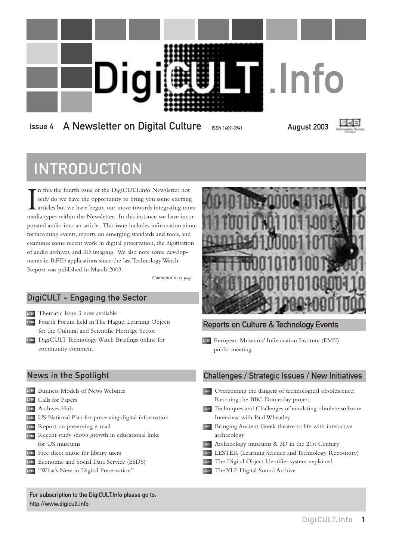

### Issue 4 A Newsletter on Digital Culture ISSN 1609-3941 August 2003



# INTRODUCTION

In this the fourth issue of the DigiCULT.info Newsletter not only do we have the opportunity to bring you some exciting articles but we have begun our move towards integrating more media types within the Newsletter. In thi n this the fourth issue of the DigiCULT.info Newsletter not only do we have the opportunity to bring you some exciting articles but we have begun our move towards integrating more porated audio into an article. This issue includes information about forthcoming events, reports on emerging standards and tools, and examines some recent work in digital preservation, the digitisation of audio archives, and 3D imaging. We also note some developments in RFID applications since the last Technology Watch Report was published in March 2003.

*Continued next page*

### DigiCULT - Engaging the Sector

LINK Thematic Issue 3 now available

- LINK Fourth Forum held in The Hague: Learning Objects for the Cultural and Scientific Heritage Sector
- LINK DigiCULT Technology Watch Briefings online for community comment

### News in the Spotlight

- LINK Business Models of News Websites Calls for Papers LINK
- Archives Hub LINK
- LINK US National Plan for preserving digital information
- LINK Report on preserving e-mail
- LINK Recent study shows growth in educational links for US museums
- LINK Free sheet music for library users
- LINK Economic and Social Data Service (ESDS)
- LINK "What's New in Digital Preservation"

For subscription to the DigiCULT.Info please go to: <http://www.digicult.info>



### Reports on Culture & Technology Events

LINK European Museums' Information Institute (EMII) public meeting

### Challenges / Strategic Issues / New Initiatives

- LINK Overcoming the dangers of technological obsolescence: Rescuing the BBC Domesday project LINK Techniques and Challenges of emulating obsolete software. Interview with Paul Wheatley LINK Bringing Ancient Greek theatre to life with interactive
- archaeology
- Archaeology museums & 3D in the 21st Century LINK
- LINK LESTER (Learning Science and Technology Repository)
- LINK The Digital Object Identifier system explained
- LINK The YLE Digital Sound Archive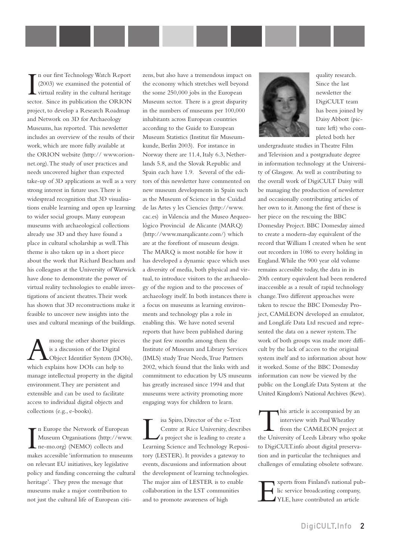In our first Technology Watch Report<br>(2003) we examined the potential of<br>virtual reality in the cultural heritage<br>sector. Since its publication the ORION n our first Technology Watch Report (2003) we examined the potential of virtual reality in the cultural heritage project, to develop a Research Roadmap and Network on 3D for Archaeology Museums, has reported. This newsletter includes an overview of the results of their work, which are more fully available at [the ORION website \(http:// www.orion](http://www.orionnet.org)net.org).The study of user practices and needs uncovered higher than expected take-up of 3D applications as well as a very strong interest in future uses.There is widespread recognition that 3D visualisations enable learning and open up learning to wider social groups. Many european museums with archaeological collections already use 3D and they have found a place in cultural scholarship as well.This theme is also taken up in a short piece about the work that Richard Beacham and his colleagues at the University of Warwick have done to demonstrate the power of virtual reality technologies to enable investigations of ancient theatres.Their work has shown that 3D reconstructions make it feasible to uncover new insights into the uses and cultural meanings of the buildings.

Among the other shorter pieces<br>is a discussion of the Digital<br>which explains how DOIs can help to is a discussion of the Digital Object Identifier System (DOIs), manage intellectual property in the digital environment.They are persistent and extensible and can be used to facilitate access to individual digital objects and collections (e.g., e-books).

In Europe the Network of European<br>Museum Organisations (http://www.<br>ne-mo.org) (NEMO) collects and<br>makes accessible 'information to museums n Europe the Network of European Museum Organisations [\(http://www.](http://www.ne-mo.org) ne-mo.org) (NEMO) collects and on relevant EU initiatives, key legislative policy and funding concerning the cultural heritage'. They press the message that museums make a major contribution to not just the cultural life of European citi-

zens, but also have a tremendous impact on the economy which stretches well beyond the some 250,000 jobs in the European Museum sector. There is a great disparity in the numbers of museums per 100,000 inhabitants across European countries according to the Guide to European Museum Statistics (Institut für Museumkunde, Berlin 2003). For instance in Norway there are 11.4, Italy 6.3, Netherlands 5.8, and the Slovak Republic and Spain each have 1.9. Several of the editors of this newsletter have commented on new museum developments in Spain such as the Museum of Science in the Cuidad de las Artes y les Ciencies [\(http://www.](http://www.cac.es) cac.es) in Valencia and the Museo Arqueológico Provincial de Alicante (MARQ) [\(http://www.marqalicante.com/\)](http://www.marqalicante.com/) which are at the forefront of museum design. The MARQ is most notable for how it has developed a dynamic space which uses a diversity of media, both physical and virtual, to introduce visitors to the archaeology of the region and to the processes of archaeology itself. In both instances there is a focus on museums as learning environments and technology plas a role in enabling this. We have noted several reports that have been published during the past few months among them the Institute of Museum and Library Services (IMLS) study True Needs, True Partners 2002, which found that the links with and commitment to education by US museums has greatly increased since 1994 and that museums were activity promoting more engaging ways for children to learn.

Isla Spiro, Director of the e-Text<br>Centre at Rice University, description<br>a project she is leading to create<br>Learning Science and Technology Rep Centre at Rice University, describes a project she is leading to create a Learning Science and Technology Repository (LESTER). It provides a gateway to events, discussions and information about the development of learning technologies. The major aim of LESTER is to enable collaboration in the LST communities and to promote awareness of high



quality research. Since the last newsletter the DigiCULT team has been joined by Daisy Abbott (picture left) who completed both her

undergraduate studies in Theatre Film and Television and a postgraduate degree in information technology at the University of Glasgow. As well as contributing to the overall work of DigiCULT Daisy will be managing the production of newsletter and occasionally contributing articles of her own to it.Among the first of these is her piece on the rescuing the BBC Domesday Project. BBC Domesday aimed to create a modern-day equivalent of the record that William I created when he sent out recorders in 1086 to every holding in England.While the 900 year old volume remains accessible today, the data in its 20th century equivalent had been rendered inaccessible as a result of rapid technology change.Two different approaches were taken to rescue the BBC Domesday Project, CAMiLEON developed an emulator, and LongLife Data Ltd rescued and represented the data on a newer system.The work of both groups was made more difficult by the lack of access to the original system itself and to information about how it worked. Some of the BBC Domesday information can now be viewed by the public on the LongLife Data System at the United Kingdom's National Archives (Kew).

This article is accompanied by an interview with Paul Wheatley from the CAMiLEON project at the University of Leeds Library who spoke to DigiCULT.info about digital preservation and in particular the techniques and challenges of emulating obsolete software.

Experts from Finland's national pub-<br>Inc service broadcasting company,<br>YLE, have contributed an article lic service broadcasting company, YLE, have contributed an article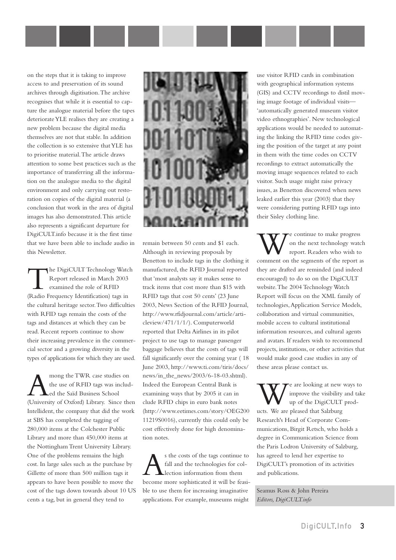on the steps that it is taking to improve access to and preservation of its sound archives through digitisation.The archive recognises that while it is essential to capture the analogue material before the tapes deteriorate YLE realises they are creating a new problem because the digital media themselves are not that stable. In addition the collection is so extensive that YLE has to prioritise material.The article draws attention to some best practices such as the importance of transferring all the information on the analogue media to the digital environment and only carrying out restoration on copies of the digital material (a conclusion that work in the area of digital images has also demonstrated.This article also represents a significant departure for DigiCULT.info because it is the first time that we have been able to include audio in this Newsletter.

the DigiCULT Technology Watch Report released in March 2003 examined the role of RFID (Radio Frequency Identification) tags in the cultural heritage sector.Two difficulties with RFID tags remain the costs of the tags and distances at which they can be read. Recent reports continue to show their increasing prevalence in the commercial sector and a growing diversity in the types of applications for which they are used.

mong the TWR case studies on the use of RFID tags was included the Saïd Business School (University of Oxford) Library. Since then Intellident, the company that did the work at SBS has completed the tagging of 280,000 items at the Colchester Public Library and more than 450,000 items at the Nottingham Trent University Library. One of the problems remains the high cost. In large sales such as the purchase by Gillette of more than 500 million tags it appears to have been possible to move the cost of the tags down towards about 10 US cents a tag, but in general they tend to



remain between 50 cents and \$1 each. Although in reviewing proposals by Benetton to include tags in the clothing it manufactured, the RFID Journal reported that 'most analysts say it makes sense to track items that cost more than \$15 with RFID tags that cost 50 cents' (23 June 2003, News Section of the RFID Journal, [http://www.rfidjournal.com/article/ar](http://www.rfidjournal.com/article/articleview/471/1/1/)ticleview/471/1/1/). Computerworld reported that Delta Airlines in its pilot project to use tags to manage passenger baggage believes that the costs of tags will fall significantly over the coming year ( 18 June 2003, [http://www.ti.com/tiris/docs/](http://www.ti.com/tiris/docs/news/in_the_newss/2003/6-18-03.shtml) news/in\_the\_news/2003/6-18-03.shtml). Indeed the European Central Bank is examining ways that by 2005 it can in clude RFID chips in euro bank notes [\(http://www.eetimes.com/story/OEG200](http://www.eetimes.com/story/OEG20011219S0016) 11219S0016), currently this could only be cost effectively done for high denomination notes.

s the costs of the tags continue to<br>fall and the technologies for col-<br>lection information from them fall and the technologies for collection information from them become more sophisticated it will be feasible to use them for increasing imaginative applications. For example, museums might

use visitor RFID cards in combination with geographical information systems (GIS) and CCTV recordings to distil moving image footage of individual visits— 'automatically generated museum visitor video ethnographies'. New technological applications would be needed to automating the linking the RFID time codes giving the position of the target at any point in them with the time codes on CCTV recordings to extract automatically the moving image sequences related to each visitor. Such usage might raise privacy issues, as Benetton discovered when news leaked earlier this year (2003) that they were considering putting RFID tags into their Sisley clothing line.

W e continue to make progress<br>on the next technology water<br>comment on the segments of the report and on the next technology watch report. Readers who wish to comment on the segments of the report as they are drafted are reminded (and indeed encouraged) to do so on the DigiCULT website.The 2004 Technology Watch Report will focus on the XML family of technologies,Application Service Models, collaboration and virtual communities, mobile access to cultural institutional information resources, and cultural agents and avatars. If readers wish to recommend projects, institutions, or other activities that would make good case studies in any of these areas please contact us.

e are looking at new ways to improve the visibility and take up of the DigiCULT products. We are pleased that Salzburg Research's Head of Corporate Communications, Birgit Retsch, who holds a degree in Communication Science from the Paris Lodron University of Salzburg, has agreed to lend her expertise to DigiCULT's promotion of its activities and publications.

Seamus Ross & John Pereira *Editors, DigiCULT.info*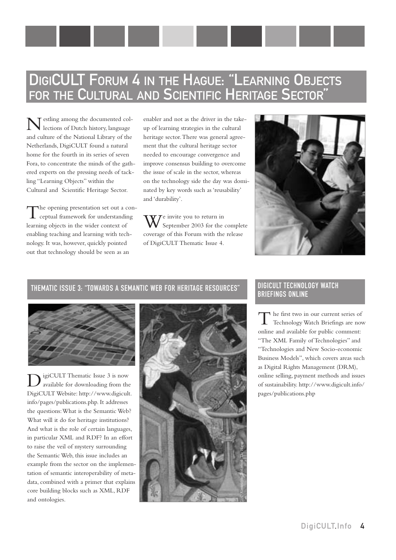# DIGICULT FORUM 4 IN THE HAGUE: "LEARNING OBJECTS FOR THE CULTURAL AND SCIENTIFIC HERITAGE SECTOR"

estling among the documented collections of Dutch history, language and culture of the National Library of the Netherlands, DigiCULT found a natural home for the fourth in its series of seven Fora, to concentrate the minds of the gathered experts on the pressing needs of tackling "Learning Objects" within the Cultural and Scientific Heritage Sector.

The opening presentation set out a conceptual framework for understanding learning objects in the wider context of enabling teaching and learning with technology. It was, however, quickly pointed out that technology should be seen as an

enabler and not as the driver in the takeup of learning strategies in the cultural heritage sector.There was general agreement that the cultural heritage sector needed to encourage convergence and improve consensus building to overcome the issue of scale in the sector, whereas on the technology side the day was dominated by key words such as 'reusability' and 'durability'.

 $\mathbf{W}$ <sup>e</sup> invite you to return in  $\sqrt{\ }$  September 2003 for the complete coverage of this Forum with the release of DigiCULT Thematic Issue 4.



### THEMATIC ISSUE 3: "TOWARDS A SEMANTIC WEB FOR HERITAGE RESOURCES" DIGICULT TECHNOLOGY WATCH



igiCULT Thematic Issue 3 is now available for downloading from the DigiCULT Website: [http://www.digicult.](http://www.digicult.info/pages/publications.php) info/pages/publications.php. It addresses the questions:What is the Semantic Web? What will it do for heritage institutions? And what is the role of certain languages, in particular XML and RDF? In an effort to raise the veil of mystery surrounding the Semantic Web, this issue includes an example from the sector on the implementation of semantic interoperability of metadata, combined with a primer that explains core building blocks such as XML, RDF and ontologies.



# BRIEFINGS ONLINE

The first two in our current series of Technology Watch Briefings are now online and available for public comment: "The XML Family of Technologies" and "Technologies and New Socio-economic Business Models", which covers areas such as Digital Rights Management (DRM), online selling, payment methods and issues of sustainability. [http://www.digicult.info/](http://www.digicult.info/pages/publications.php) pages/publications.php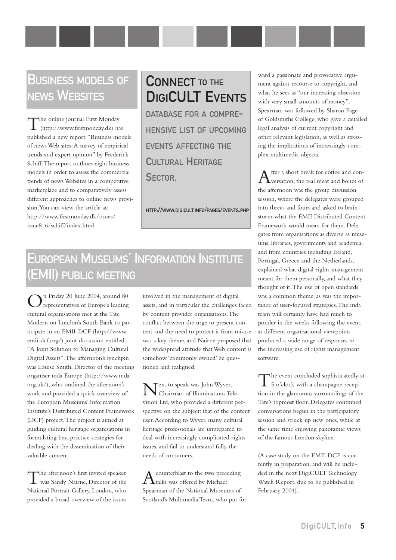### BUSINESS MODELS OF NEWS WEBSITES

The online journal First Monday (http://www.firstmonday.dk) has published a new report:"Business models of news Web sites:A survey of empirical trends and expert opinion" by Frederick Schiff.The report outlines eight business models in order to assess the commercial trends of news Websites in a competitive marketplace and to comparatively assess different approaches to online news provision.You can view the article at: [http://www.firstmonday.dk/issues/](http://www.firstmonday.dk/issues/issue8_6/shiff/index.html) issue8\_6/schiff/index.html

# CONNECT TO THE DIGICULT EVENTS

DATABASE FOR A COMPRE-HENSIVE LIST OF UPCOMING EVENTS AFFECTING THE CULTURAL HERITAGE SECTOR.

<HTTP://WWW.DIGICULT.INFO/PAGES/EVENTS.PHP>

# EUROPEAN MUSEUMS' INFORMATION INSTITUTE (EMII) PUBLIC MEETING

On Friday 20 June 2004, around 80 representatives of Europe's leading cultural organisations met at the Tate Modern on London's South Bank to participate in an EMII-DCF [\(http://www.](http://www.emii-dcf.org) emii-dcf.org/) joint discussion entitled "A Joint Solution to Managing Cultural Digital Assets".The afternoon's lynchpin was Louise Smith, Director of the meeting organiser mda Europe ([http://www.mda.](http://www.mda.org.uk) org.uk/), who outlined the afternoon's work and provided a quick overview of the European Museums' Information Institute's Distributed Content Framework (DCF) project.The project is aimed at guiding cultural heritage organisations in formulating best practice strategies for dealing with the dissemination of their valuable content.

The afternoon's first invited speaker was Sandy Nairne, Director of the National Portrait Gallery, London, who provided a broad overview of the issues involved in the management of digital assets, and in particular the challenges faced by content provider organisations.The conflict between the urge to present content and the need to protect it from misuse was a key theme, and Nairne proposed that the widespread attitude that Web content is somehow 'commonly owned' be questioned and realigned.

Text to speak was John Wyver, Chairman of Illuminations Television Ltd, who provided a different perspective on the subject: that of the content user.According to Wyver, many cultural heritage professionals are unprepared to deal with increasingly complicated rights issues, and fail to understand fully the needs of consumers.

 $A$ counterblast to the two preceding<br> $A$ talks was offered by Michael Spearman of the National Museums of Scotland's Multimedia Team, who put for-

ward a passionate and provocative argument against recourse to copyright, and what he sees as "our increasing obsession with very small amounts of money". Spearman was followed by Sharon Page of Goldsmiths College, who gave a detailed legal analysis of current copyright and other relevant legislation, as well as stressing the implications of increasingly complex multimedia objects.

After a short break for coffee and con-<br>versation, the real meat and bones of the afternoon was the group discussion session, where the delegates were grouped into threes and fours and asked to brainstorm what the EMII Distributed Content Framework would mean for them. Delegates from organisations as diverse as museums, libraries, governments and academia, and from countries including Ireland, Portugal, Greece and the Netherlands, explained what digital rights management meant for them personally, and what they thought of it.The use of open standards was a common theme, as was the importance of user-focused strategies.The mda team will certainly have had much to ponder in the weeks following the event, as different organisational viewpoints produced a wide range of responses to the increasing use of rights management software.

The event concluded sophisticatedly at 5 o'clock with a champagne reception in the glamorous surroundings of the Tate's topmost floor. Delegates continued conversations begun in the participatory session and struck up new ones, while at the same time enjoying panoramic views of the famous London skyline.

(A case study on the EMII-DCF is currently in preparation, and will be included in the next DigiCULT Technology Watch Report, due to be published in February 2004).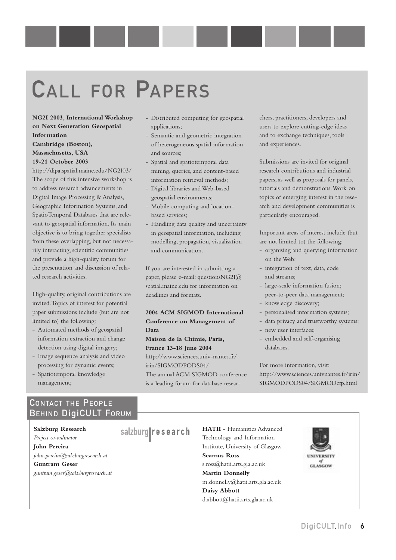# CALL FOR PAPERS

**NG2I 2003, International Workshop on Next Generation Geospatial Information**

#### **Cambridge (Boston), Massachusetts, USA 19-21 October 2003**

<http://dipa.spatial.maine.edu/NG2I03/> The scope of this intensive workshop is to address research advancements in Digital Image Processing & Analysis, Geographic Information Systems, and SpatioTemporal Databases that are relevant to geospatial information. Its main objective is to bring together specialists from these overlapping, but not necessarily interacting, scientific communities and provide a high-quality forum for the presentation and discussion of related research activities.

High-quality, original contributions are invited.Topics of interest for potential paper submissions include (but are not limited to) the following:

- Automated methods of geospatial information extraction and change detection using digital imagery;
- Image sequence analysis and video processing for dynamic events;
- Spatiotemporal knowledge management;
- Distributed computing for geospatial applications;
- Semantic and geometric integration of heterogeneous spatial information and sources;
- Spatial and spatiotemporal data mining, queries, and content-based information retrieval methods;
- Digital libraries and Web-based geospatial environments;
- Mobile computing and locationbased services;
- Handling data quality and uncertainty in geospatial information, including modelling, propagation, visualisation and communication.

If you are interested in submitting a paper, please e-mail: questionsNG2I@ spatial.maine.edu for information on deadlines and formats.

#### **2004 ACM SIGMOD International Conference on Management of Data**

**Maison de la Chimie, Paris, France 13-18 June 2004** [http://www.sciences.univ-nantes.fr/](http://www.sciences.univ-nantes.fr/irin/SIGMODPOFS04/) irin/SIGMODPODS04/ The annual ACM SIGMOD conference is a leading forum for database researchers, practitioners, developers and users to explore cutting-edge ideas and to exchange techniques, tools and experiences.

Submissions are invited for original research contributions and industrial papers, as well as proposals for panels, tutorials and demonstrations.Work on topics of emerging interest in the research and development communities is particularly encouraged.

Important areas of interest include (but are not limited to) the following:

- organising and querying information on the Web;
- integration of text, data, code and streams;
- large-scale information fusion; peer-to-peer data management; - knowledge discovery;
- personalised information systems;
- data privacy and trustworthy systems;
- new user interfaces;
- embedded and self-organising databases.

For more information, visit: [http://www.sciences.univnantes.fr/irin/](http://www.sciences.univnantes.fr/irin/SIGMODPODS04/SIGMODcfp.html) SIGMODPODS04/SIGMODcfp.html

### CONTACT THE PEOPLE BEHIND DigiCULT FORUM

**Salzburg Research** *Project co-ordinator* **John Pereira** *john.pereira@salzburgresearch.at*

**Guntram Geser**

*guntram.geser@salzburgresearch.at*

salzburg research **HATII** - Humanities Advanced Technology and Information Institute, University of Glasgow **Seamus Ross** s.ross@hatii.arts.gla.ac.uk **Martin Donnelly**

m.donnelly@hatii.arts.gla.ac.uk **Daisy Abbott** d.abbott@hatii.arts.gla.ac.uk



**GLASCOW**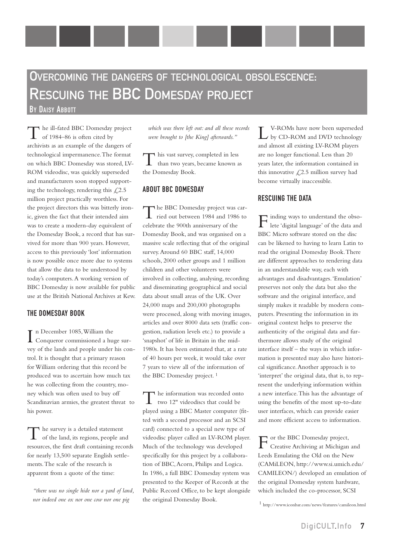# OVERCOMING THE DANGERS OF TECHNOLOGICAL OBSOLESCENCE: RESCUING THE BBC DOMESDAY PROJECT

BY DAISY ABBOTT

he ill-fated BBC Domesday project of 1984–86 is often cited by archivists as an example of the dangers of technological impermanence.The format on which BBC Domesday was stored, LV-ROM videodisc, was quickly superseded and manufacturers soon stopped supporting the technology, rendering this  $\mathcal{L}2.5$ million project practically worthless. For the project directors this was bitterly ironic, given the fact that their intended aim was to create a modern-day equivalent of the Domesday Book, a record that has survived for more than 900 years. However, access to this previously 'lost' information is now possible once more due to systems that allow the data to be understood by today's computers.A working version of BBC Domesday is now available for public use at the British National Archives at Kew.

#### THE DOMESDAY BOOK

In December 1085, William the<br>Conqueror commissioned a hu Conqueror commissioned a huge survey of the lands and people under his control. It is thought that a primary reason for William ordering that this record be produced was to ascertain how much tax he was collecting from the country, money which was often used to buy off Scandinavian armies, the greatest threat to his power.

The survey is a detailed statement of the land, its regions, people and resources, the first draft containing records for nearly 13,500 separate English settlements.The scale of the research is apparent from a quote of the time:

*"there was no single hide nor a yard of land, nor indeed one ox nor one cow nor one pig*

*which was there left out: and all these records were brought to [the King] afterwards."*

This vast survey, completed in less than two years, became known as the Domesday Book.

#### ABOUT BBC DOMESDAY

The BBC Domesday project was carried out between 1984 and 1986 to celebrate the 900th anniversary of the Domesday Book, and was organised on a massive scale reflecting that of the original survey.Around 60 BBC staff, 14,000 schools, 2000 other groups and 1 million children and other volunteers were involved in collecting, analysing, recording and disseminating geographical and social data about small areas of the UK. Over 24,000 maps and 200,000 photographs were processed, along with moving images, articles and over 8000 data sets (traffic congestion, radiation levels etc.) to provide a 'snapshot' of life in Britain in the mid-1980s. It has been estimated that, at a rate of 40 hours per week, it would take over 7 years to view all of the information of the BBC Domesday project. 1

The information was recorded onto two 12" videodiscs that could be played using a BBC Master computer (fitted with a second processor and an SCSI card) connected to a special new type of videodisc player called an LV-ROM player. Much of the technology was developed specifically for this project by a collaboration of BBC, Acorn, Philips and Logica. In 1986, a full BBC Domesday system was presented to the Keeper of Records at the Public Record Office, to be kept alongside the original Domesday Book.

L V-ROMs have now been superseded by CD-ROM and DVD technology and almost all existing LV-ROM players are no longer functional. Less than 20 years later, the information contained in this innovative  $\mathcal{L}$ , 2.5 million survey had become virtually inaccessible.

#### RESCUING THE DATA

Finding ways to understand the obso-lete 'digital language' of the data and BBC Micro software stored on the disc can be likened to having to learn Latin to read the original Domesday Book.There are different approaches to rendering data in an understandable way, each with advantages and disadvantages.'Emulation' preserves not only the data but also the software and the original interface, and simply makes it readable by modern computers. Presenting the information in its original context helps to preserve the authenticity of the original data and furthermore allows study of the original interface itself – the ways in which information is presented may also have historical significance.Another approach is to 'interpret' the original data, that is, to represent the underlying information within a new interface.This has the advantage of using the benefits of the most up-to-date user interfaces, which can provide easier and more efficient access to information.

For the BBC Domesday project, Creative Archiving at Michigan and Leeds Emulating the Old on the New (CAMiLEON, [http://www.si.umich.edu/](http://www.si.umich.edu/CAMILEON) CAMILEON/) developed an emulation of the original Domesday system hardware, which included the co-processor, SCSI

1 <http://www.iconbar.com/news/features/camileon.html>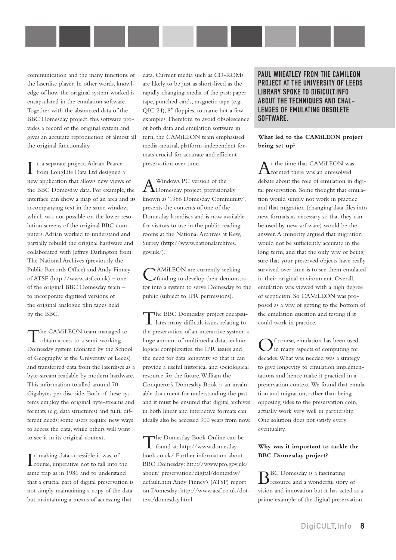communication and the many functions of the laserdisc player. In other words, knowledge of how the original system worked is encapsulated in the emulation software. Together with the abstracted data of the BBC Domesday project, this software provides a record of the original system and gives an accurate reproduction of almost all the original functionality.

n a separate project, Adrian Pearce from LongLife Data Ltd designed a new application that allows new views of the BBC Domesday data. For example, the interface can show a map of an area and its accompanying text in the same window, which was not possible on the lower resolution screens of the original BBC computers.Adrian worked to understand and partially rebuild the original hardware and collaborated with Jeffrey Darlington from The National Archives (previously the Public Records Office) and Andy Finney of ATSF [\(http://www.atsf.co.uk\)](http://www.atsf.co.uk) – one of the original BBC Domesday team – to incorporate digitised versions of the original analogue film tapes held by the BBC.

The CAMiLEON team managed to obtain access to a semi-working Domesday system (donated by the School of Geography at the University of Leeds) and transferred data from the laserdiscs as a byte-stream readable by modern hardware. This information totalled around 70 Gigabytes per disc side. Both of these systems employ the original byte-streams and formats (e.g. data structures) and fulfil different needs; some users require new ways to access the data, while others will want to see it in its original context.

In making data accessible it was, of<br>course, imperative not to fall into the n making data accessible it was, of same trap as in 1986 and to understand that a crucial part of digital preservation is not simply maintaining a copy of the data but maintaining a means of accessing that

data. Current media such as CD-ROMs are likely to be just as short-lived as the rapidly changing media of the past: paper tape, punched cards, magnetic tape (e.g. QIC 24), 8" floppies, to name but a few examples.Therefore, to avoid obsolescence of both data and emulation software in turn, the CAMiLEON team emphasised media-neutral, platform-independent formats crucial for accurate and efficient preservation over time.

A Windows PC version of the<br>Domesday project, provisionally known as '1986 Domesday Community', presents the contents of one of the Domesday laserdiscs and is now available for visitors to use in the public reading rooms at the National Archives at Kew, Surrey ([http://www.nationalarchives.](http://www.nationalarchives.gov.uk) gov.uk/).

CAMiLEON are currently seeking funding to develop their demonstrator into a system to serve Domesday to the public (subject to IPR permissions).

The BBC Domesday project encapsu-lates many difficult issues relating to the preservation of an interactive system: a huge amount of multimedia data, technological complexities, the IPR issues and the need for data longevity so that it can provide a useful historical and sociological resource for the future.William the Conqueror's Domesday Book is an invaluable document for understanding the past and it must be ensured that digital archives in both linear and interactive formats can ideally also be accessed 900 years from now.

[T](http://www.domesdaybook.co.uk/)he Domesday Book Online can be found at: http://www.domesdaybook.co.uk/ Further information about BBC Domesday: [http://www.pro.gov.uk/](http://www.pro.gov.uk/about/preservation/digital/domesday/default.htm) about/ preservation/digital/domesday/ default.htm Andy Finney's (ATSF) report [on Domesday: http://www.atsf.co.uk/dot](http://www.atsf.co.uk/dottext/domesday.html)text/domesday.html

PAUL WHEATLEY FROM THE CAMILEON PROJECT AT THE UNIVERSITY OF LEEDS LIBRARY SPOKE TO DIGICULT.INFO ABOUT THE TECHNIQUES AND CHAL-LENGES OF EMULATING OBSOLETE SOFTWARE.

#### **What led to the CAMiLEON project being set up?**

At the time that CAMiLEON was formed there was an unresolved debate about the role of emulation in digital preservation. Some thought that emulation would simply not work in practice and that migration (changing data files into new formats as necessary so that they can be used by new software) would be the answer.A minority argued that migration would not be sufficiently accurate in the long term, and that the only way of being sure that your preserved objects have really survived over time is to see them emulated in their original environment. Overall, emulation was viewed with a high degree of scepticism. So CAMiLEON was proposed as a way of getting to the bottom of the emulation question and testing if it could work in practice.

Of course, emulation has been used in many aspects of computing for decades.What was needed was a strategy to give longevity to emulation implementations and hence make it practical in a preservation context.We found that emulation and migration, rather than being opposing sides to the preservation coin, actually work very well in partnership. One solution does not satisfy every eventuality.

#### **Why was it important to tackle the BBC Domesday project?**

 $\mathbf{B}^{\text{BC Domesday}}$  is a fascinating<br>resource and a wonderful story of vision and innovation but it has acted as a prime example of the digital preservation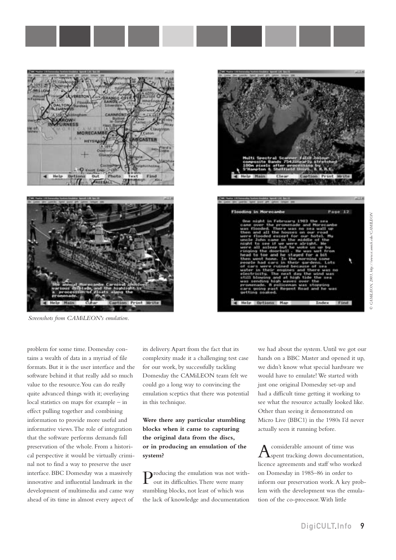



*Screenshots from CAMiLEON's emulation.*

problem for some time. Domesday contains a wealth of data in a myriad of file formats. But it is the user interface and the software behind it that really add so much value to the resource.You can do really quite advanced things with it; overlaying local statistics on maps for example – in effect pulling together and combining information to provide more useful and informative views.The role of integration that the software performs demands full preservation of the whole. From a historical perspective it would be virtually criminal not to find a way to preserve the user interface. BBC Domesday was a massively innovative and influential landmark in the development of multimedia and came way ahead of its time in almost every aspect of

its delivery.Apart from the fact that its complexity made it a challenging test case for our work, by successfully tackling Domesday the CAMiLEON team felt we could go a long way to convincing the emulation sceptics that there was potential in this technique.

**Were there any particular stumbling blocks when it came to capturing the original data from the discs, or in producing an emulation of the system?**

Producing the emulation was not without its difficulties.There were many stumbling blocks, not least of which was the lack of knowledge and documentation

we had about the system. Until we got our hands on a BBC Master and opened it up, we didn't know what special hardware we would have to emulate! We started with just one original Domesday set-up and had a difficult time getting it working to see what the resource actually looked like. Other than seeing it demonstrated on Micro Live (BBC1) in the 1980s I'd never actually seen it running before.

considerable amount of time was **A**spent tracking down documentation, licence agreements and staff who worked on Domesday in 1985–86 in order to inform our preservation work.A key problem with the development was the emulation of the co-processor.With little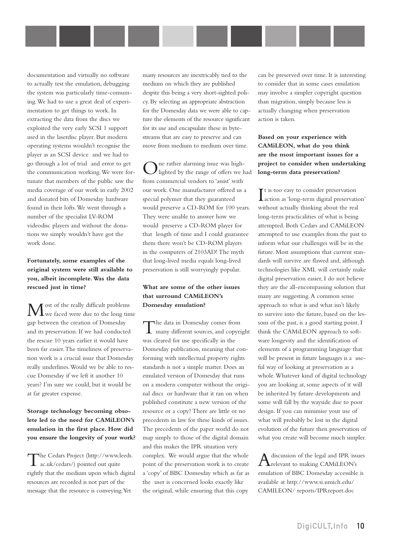documentation and virtually no software to actually test the emulation, debugging the system was particularly time-consuming.We had to use a great deal of experimentation to get things to work. In extracting the data from the discs we exploited the very early SCSI 1 support used in the laserdisc player. But modern operating systems wouldn't recognise the player as an SCSI device and we had to go through a lot of trial and error to get the communication working.We were fortunate that members of the public saw the media coverage of our work in early 2002 and donated bits of Domesday hardware found in their lofts.We went through a number of the specialist LV-ROM videodisc players and without the donations we simply wouldn't have got the work done.

#### **Fortunately, some examples of the original system were still available to you, albeit incomplete.Was the data rescued just in time?**

Most of the really difficult problems we faced were due to the long time gap between the creation of Domesday and its preservation. If we had conducted the rescue 10 years earlier it would have been far easier.The timeliness of preservation work is a crucial issue that Domesday really underlines.Would we be able to rescue Domesday if we left it another 10 years? I'm sure we could, but it would be at far greater expense.

#### **Storage technology becoming obsolete led to the need for CAMiLEON's emulation in the first place. How did you ensure the longevity of your work?**

The Cedars Project ([http://www.leeds.](http://www.leeds.ac.uk/cedars)<br>
ac.uk/cedars/) pointed out quite rightly that the medium upon which digital resources are recorded is not part of the message that the resource is conveying.Yet

many resources are inextricably tied to the medium on which they are published despite this being a very short-sighted policy. By selecting an appropriate abstraction for the Domesday data we were able to capture the elements of the resource significant for its use and encapsulate these in bytestreams that are easy to preserve and can move from medium to medium over time.

One rather alarming issue was high-lighted by the range of offers we had from commercial vendors to 'assist' with our work. One manufacturer offered us a special polymer that they guaranteed would preserve a CD-ROM for 100 years. They were unable to answer how we would preserve a CD-ROM player for that length of time and I could guarantee them there won't be CD-ROM players in the computers of 2103AD! The myth that long-lived media equals long-lived preservation is still worryingly popular.

#### **What are some of the other issues that surround CAMiLEON's Domesday emulation?**

The data in Domesday comes from many different sources, and copyright was cleared for use specifically in the Domesday publication, meaning that conforming with intellectual property rights standards is not a simple matter. Does an emulated version of Domesday that runs on a modern computer without the original discs or hardware that it ran on when published constitute a new version of the resource or a copy? There are little or no precedents in law for these kinds of issues. The precedents of the paper world do not map simply to those of the digital domain and this makes the IPR situation very complex. We would argue that the whole point of the preservation work is to create a 'copy' of BBC Domesday which as far as the user is concerned looks exactly like the original, while ensuring that this copy

can be preserved over time. It is interesting to consider that in some cases emulation may involve a simpler copyright question than migration, simply because less is actually changing when preservation action is taken.

#### **Based on your experience with CAMiLEON, what do you think are the most important issues for a project to consider when undertaking long-term data preservation?**

It is too easy to consider preservation<br>action as 'long-term digital preservation action as 'long-term digital preservation' without actually thinking about the real long-term practicalities of what is being attempted. Both Cedars and CAMiLEON attempted to use examples from the past to inform what our challenges will be in the future. Most assumptions that current standards will survive are flawed and, although technologies like XML will certainly make digital preservation easier, I do not believe they are the all-encompassing solution that many are suggesting.A common sense approach to what is and what isn't likely to survive into the future, based on the lessons of the past, is a good starting point. I think the CAMiLEON approach to software longevity and the identification of elements of a programming language that will be present in future languages is a useful way of looking at preservation as a whole.Whatever kind of digital technology you are looking at, some aspects of it will be inherited by future developments and some will fall by the wayside due to poor design. If you can minimise your use of what will probably be lost in the digital evolution of the future then preservation of what you create will become much simpler.

Adiscussion of the legal and IPR issues<br>relevant to making CAMiLEON's emulation of BBC Domesday accessible is available at [http://www.si.umich.edu/](http://www.si.umich.edu/CAMILEON/reports/IPRreport.doc) CAMILEON/ reports/IPRreport.doc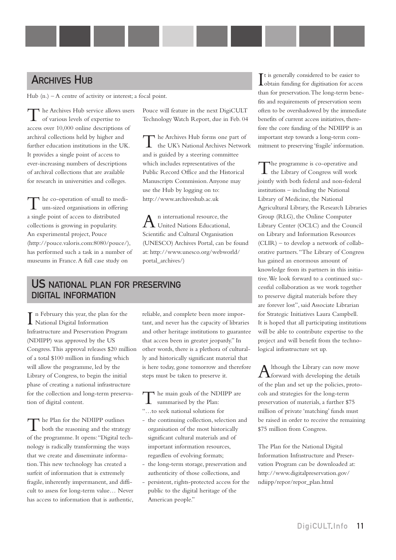### **ARCHIVES HUB**

Hub (n.) – A centre of activity or interest; a focal point.

he Archives Hub service allows users of various levels of expertise to access over 10,000 online descriptions of archival collections held by higher and further education institutions in the UK. It provides a single point of access to ever-increasing numbers of descriptions of archival collections that are available for research in universities and colleges.

The co-operation of small to medium-sized organisations in offering a single point of access to distributed collections is growing in popularity. An experimental project, Pouce (<http://pouce.valoris.com:8080/pouce/>), has performed such a task in a number of museums in France.A full case study on

Pouce will feature in the next DigiCULT Technology Watch Report, due in Feb. 04

The Archives Hub forms one part of<br>the UK's National Archives Network and is guided by a steering committee which includes representatives of the Public Record Office and the Historical Manuscripts Commission.Anyone may use the Hub by logging on to: <http://www.archiveshub.ac.uk>

An international resource, the<br>United Nations Educational, Scientific and Cultural Organisation (UNESCO) Archives Portal, can be found at: [http://www.unesco.org/webworld/](http://www.unesco.org/webworld/portal_archives) portal\_archives/)

### US NATIONAL PLAN FOR PRESERVING DIGITAL INFORMATION

In February this year, the plan<br>National Digital Information n February this year, the plan for the Infrastructure and Preservation Program (NDIIPP) was approved by the US Congress.This approval releases \$20 million of a total \$100 million in funding which will allow the programme, led by the Library of Congress, to begin the initial phase of creating a national infrastructure for the collection and long-term preservation of digital content.

The Plan for the NDIIPP outlines of the programme. It opens:"Digital technology is radically transforming the ways that we create and disseminate information.This new technology has created a surfeit of information that is extremely fragile, inherently impermanent, and difficult to assess for long-term value… Never has access to information that is authentic,

reliable, and complete been more important, and never has the capacity of libraries and other heritage institutions to guarantee that access been in greater jeopardy." In other words, there is a plethora of culturally and historically significant material that is here today, gone tomorrow and therefore steps must be taken to preserve it.

The main goals of the NDIIPP are<br>summarised by the Plan: "…to seek national solutions for

- the continuing collection, selection and organisation of the most historically significant cultural materials and of important information resources, regardless of evolving formats;
- the long-term storage, preservation and authenticity of those collections, and
- persistent, rights-protected access for the public to the digital heritage of the American people."

It is generally considered to be easier to<br>obtain funding for digitisation for access t is generally considered to be easier to than for preservation.The long-term benefits and requirements of preservation seem often to be overshadowed by the immediate benefits of current access initiatives, therefore the core funding of the NDIIPP is an important step towards a long-term commitment to preserving 'fragile' information.

The programme is co-operative and the Library of Congress will work jointly with both federal and non-federal institutions – including the National Library of Medicine, the National Agricultural Library, the Research Libraries Group (RLG), the Online Computer Library Center (OCLC) and the Council on Library and Information Resources (CLIR) – to develop a network of collaborative partners."The Library of Congress has gained an enormous amount of knowledge from its partners in this initiative.We look forward to a continued successful collaboration as we work together to preserve digital materials before they are forever lost", said Associate Librarian for Strategic Initiatives Laura Campbell. It is hoped that all participating institutions will be able to contribute expertise to the project and will benefit from the technological infrastructure set up.

A lthough the Library can now move<br>forward with developing the details of the plan and set up the policies, protocols and strategies for the long-term preservation of materials, a further \$75 million of private 'matching' funds must be raised in order to receive the remaining \$75 million from Congress.

The Plan for the National Digital Information Infrastructure and Preservation Program can be downloaded at: [http://www.digitalpreservation.gov/](http://www.digitalpreservation.gov/ndiipp/repor/repor_plan.html) ndiipp/repor/repor\_plan.html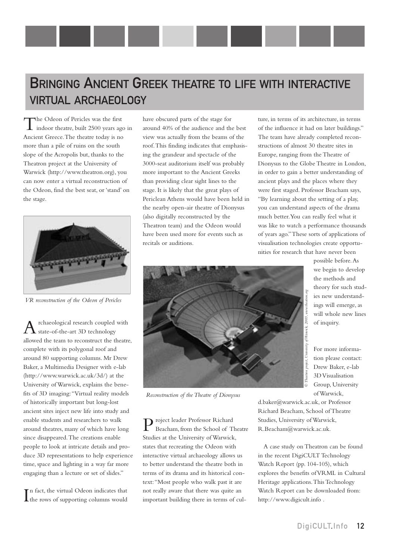## BRINGING ANCIENT GREEK THEATRE TO LIFE WITH INTERACTIVE VIRTUAL ARCHAEOLOGY

The Odeon of Pericles was the first indoor theatre, built 2500 years ago in Ancient Greece.The theatre today is no more than a pile of ruins on the south slope of the Acropolis but, thanks to the Theatron project at the University of Warwick [\(http://www.theatron.org](http://www.theatron.org)), you can now enter a virtual reconstruction of the Odeon, find the best seat, or 'stand' on the stage.



*VR reconstruction of the Odeon of Pericles* 

rchaeological research coupled with state-of-the-art 3D technology allowed the team to reconstruct the theatre, complete with its polygonal roof and around 80 supporting columns. Mr Drew Baker, a Multimedia Designer with e-lab ([http://www.warwick.ac.uk/3d/\)](http://www.warwick.ac.uk/3d/) at the University of Warwick, explains the benefits of 3D imaging:"Virtual reality models of historically important but long-lost ancient sites inject new life into study and enable students and researchers to walk around theatres, many of which have long since disappeared.The creations enable people to look at intricate details and produce 3D representations to help experience time, space and lighting in a way far more engaging than a lecture or set of slides."

 $\prod$ n fact, the virtual Odeon indicates that<br>the rows of supporting columns would n fact, the virtual Odeon indicates that have obscured parts of the stage for around 40% of the audience and the best view was actually from the beams of the roof.This finding indicates that emphasising the grandeur and spectacle of the 3000-seat auditorium itself was probably more important to the Ancient Greeks than providing clear sight lines to the stage. It is likely that the great plays of Periclean Athens would have been held in the nearby open-air theatre of Dionysus (also digitally reconstructed by the Theatron team) and the Odeon would have been used more for events such as recitals or auditions.

ture, in terms of its architecture, in terms of the influence it had on later buildings." The team have already completed reconstructions of almost 30 theatre sites in Europe, ranging from the Theatre of Dionysus to the Globe Theatre in London, in order to gain a better understanding of ancient plays and the places where they were first staged. Professor Beacham says, "By learning about the setting of a play, you can understand aspects of the drama much better.You can really feel what it was like to watch a performance thousands of years ago."These sorts of applications of visualisation technologies create opportunities for research that have never been



*Reconstruction of the Theatre of Dionysus*

Project leader Professor Richard Beacham, from the School of Theatre Studies at the University of Warwick, states that recreating the Odeon with interactive virtual archaeology allows us to better understand the theatre both in terms of its drama and its historical context:"Most people who walk past it are not really aware that there was quite an important building there in terms of culpossible before.As we begin to develop the methods and theory for such studies new understandings will emerge, as will whole new lines of inquiry.

For more information please contact: Drew Baker, e-lab 3D Visualisation Group, University of Warwick,

d.baker@warwick.ac.uk, or Professor Richard Beacham, School of Theatre Studies, University of Warwick, R.Beacham@warwick.ac.uk.

A case study on Theatron can be found in the recent DigiCULT Technology Watch Report (pp. 104-105), which explores the benefits of VRML in Cultural Heritage applications.This Technology Watch Report can be downloaded from: <http://www.digicult.info> .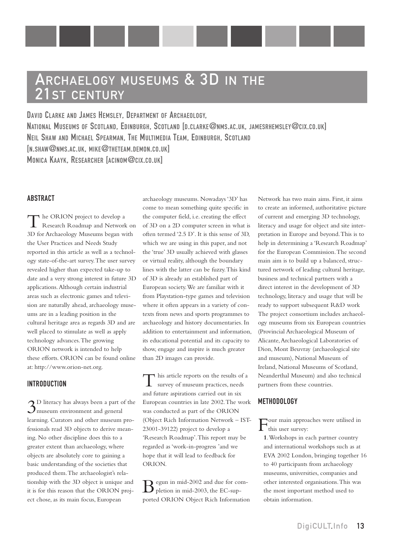## ARCHAELOGY MUSEUMS & 3D IN THE 21ST CENTURY

DAVID CLARKE AND JAMES HEMSLEY, DEPARTMENT OF ARCHAEOLOGY, NATIONAL MUSEUMS OF SCOTLAND, EDINBURGH, SCOTLAND [D.CLARKE@NMS.AC.UK, JAMESRHEMSLEY@CIX.CO.UK] NEIL SHAW AND MICHAEL SPEARMAN, THE MULTIMEDIA TEAM, EDINBURGH, SCOTLAND [N.SHAW@NMS.AC.UK, MIKE@THETEAM.DEMON.CO.UK] MONICA KAAYK, RESEARCHER [ACINOM@CIX.CO.UK]

#### ABSTRACT

The ORION project to develop a<br>Research Roadmap and Network on 3D for Archaeology Museums began with the User Practices and Needs Study reported in this article as well as a technology state-of-the-art survey.The user survey revealed higher than expected take-up to date and a very strong interest in future 3D applications.Although certain industrial areas such as electronic games and television are naturally ahead, archaeology museums are in a leading position in the cultural heritage area as regards 3D and are well placed to stimulate as well as apply technology advances.The growing ORION network is intended to help these efforts. ORION can be found online at: [http://www.orion-net.org.](http://www.orion-net.org)

#### INTRODUCTION

3D literacy has always been a part of the  $\mathcal{J}_{\text{museum}}$  environment and general learning. Curators and other museum professionals read 3D objects to derive meaning. No other discipline does this to a greater extent than archaeology, where objects are absolutely core to gaining a basic understanding of the societies that produced them.The archaeologist's relationship with the 3D object is unique and it is for this reason that the ORION project chose, as its main focus, European

archaeology museums. Nowadays '3D' has come to mean something quite specific in the computer field, i.e. creating the effect of 3D on a 2D computer screen in what is often termed '2.5 D'. It is this sense of 3D, which we are using in this paper, and not the 'true' 3D usually achieved with glasses or virtual reality, although the boundary lines with the latter can be fuzzy.This kind of 3D is already an established part of European society.We are familiar with it from Playstation-type games and television where it often appears in a variety of contexts from news and sports programmes to archaeology and history documentaries. In addition to entertainment and information, its educational potential and its capacity to show, engage and inspire is much greater than 2D images can provide.

This article reports on the results of a survey of museum practices, needs and future aspirations carried out in six European countries in late 2002.The work was conducted as part of the ORION (Object Rich Information Network – IST-23001-39122) project to develop a 'Research Roadmap'.This report may be regarded as 'work-in-progress 'and we hope that it will lead to feedback for ORION.

 $\mathbf{B}$  egun in mid-2002 and due for completion in mid-2003, the EC-supported ORION Object Rich Information Network has two main aims. First, it aims to create an informed, authoritative picture of current and emerging 3D technology, literacy and usage for object and site interpretation in Europe and beyond.This is to help in determining a 'Research Roadmap' for the European Commission.The second main aim is to build up a balanced, structured network of leading cultural heritage, business and technical partners with a direct interest in the development of 3D technology, literacy and usage that will be ready to support subsequent R&D work The project consortium includes archaeology museums from six European countries (Provincial Archaeological Museum of Alicante,Archaeological Laboratories of Dion, Mont Beuvray (archaeological site and museum), National Museum of Ireland, National Museums of Scotland, Neanderthal Museum) and also technical partners from these countries.

#### **METHODOLOGY**

Four main approaches were utilised in this user survey:

**1**.Workshops in each partner country and international workshops such as at EVA 2002 London, bringing together 16 to 40 participants from archaeology museums, universities, companies and other interested organisations.This was the most important method used to obtain information.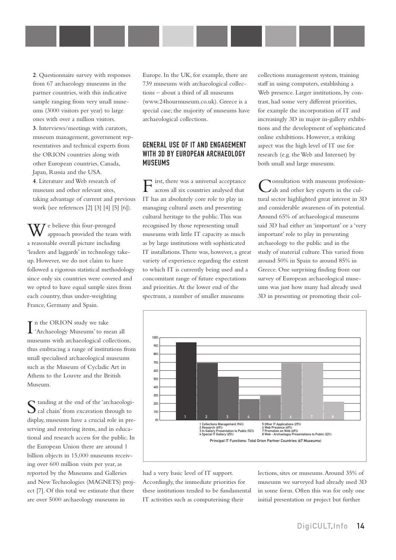**2**. Questionnaire survey with responses from 67 archaeology museums in the partner countries, with this indicative sample ranging from very small museums (3000 visitors per year) to large ones with over a million visitors. **3**. Interviews/meetings with curators, museum management, government representatives and technical experts from the ORION countries along with other European countries, Canada, Japan, Russia and the USA. **4**. Literature and Web research of museum and other relevant sites, taking advantage of current and previous work (see references [2] [3] [4] [5] [6]).

We believe this four-pronged approach provided the team with a reasonable overall picture including 'leaders and laggards' in technology takeup. However, we do not claim to have followed a rigorous statistical methodology since only six countries were covered and we opted to have equal sample sizes from each country, thus under-weighting France, Germany and Spain.

I 'Archaeology Museums' to mean all T n the ORION study we take museums with archaeological collections, thus embracing a range of institutions from small specialised archaeological museums such as the Museum of Cycladic Art in Athens to the Louvre and the British Museum.

Standing at the end of the 'archaeologi-<br>Cal chain' from excavation through to display, museums have a crucial role in preserving and restoring items, and in educational and research access for the public. In the European Union there are around 1 billion objects in 15,000 museums receiving over 600 million visits per year, as reported by the Museums and Galleries and New Technologies (MAGNETS) project [7]. Of this total we estimate that there are over 5000 archaeology museums in

Europe. In the UK, for example, there are 739 museums with archaeological collections – about a third of all museums (www.24hourmuseum.co.uk). Greece is a special case; the majority of museums have archaeological collections.

#### GENERAL USE OF IT AND ENGAGEMENT WITH 3D BY EUROPEAN ARCHAEOLOGY **MUSEUMS**

First, there was a universal acceptance across all six countries analysed that IT has an absolutely core role to play in managing cultural assets and presenting cultural heritage to the public.This was recognised by those representing small museums with little IT capacity as much as by large institutions with sophisticated IT installations.There was, however, a great variety of experience regarding the extent to which IT is currently being used and a concomitant range of future expectations and priorities.At the lower end of the spectrum, a number of smaller museums

collections management system, training staff in using computers, establishing a Web presence. Larger institutions, by contrast, had some very different priorities, for example the incorporation of IT and increasingly 3D in major in-gallery exhibitions and the development of sophisticated online exhibitions. However, a striking aspect was the high level of IT use for research (e.g. the Web and Internet) by both small and large museums.

Consultation with museum profession-als and other key experts in the cultural sector highlighted great interest in 3D and considerable awareness of its potential. Around 65% of archaeological museums said 3D had either an 'important' or a 'very important' role to play in presenting archaeology to the public and in the study of material culture.This varied from around 50% in Spain to around 85% in Greece. One surprising finding from our survey of European archaeological museums was just how many had already used 3D in presenting or promoting their col-



had a very basic level of IT support. Accordingly, the immediate priorities for these institutions tended to be fundamental IT activities such as computerising their

lections, sites or museums.Around 35% of museums we surveyed had already used 3D in some form. Often this was for only one initial presentation or project but further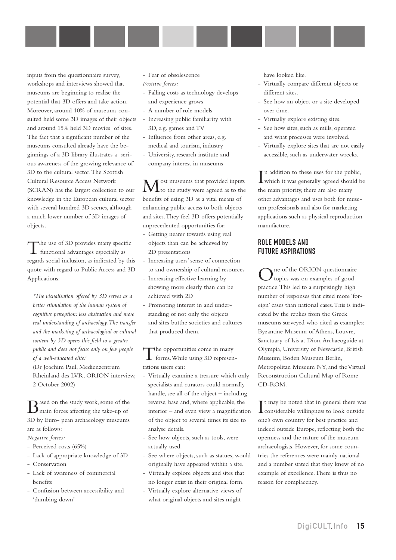inputs from the questionnaire survey, workshops and interviews showed that museums are beginning to realise the potential that 3D offers and take action. Moreover, around 10% of museums consulted held some 3D images of their objects and around 15% held 3D movies of sites. The fact that a significant number of the museums consulted already have the beginnings of a 3D library illustrates a serious awareness of the growing relevance of 3D to the cultural sector.The Scottish Cultural Resource Access Network (SCRAN) has the largest collection to our knowledge in the European cultural sector with several hundred 3D scenes, although a much lower number of 3D images of objects.

The use of 3D provides many specific functional advantages especially as regards social inclusion, as indicated by this quote with regard to Public Access and 3D Applications:

*'The visualisation offered by 3D serves as a better stimulation of the human system of cognitive perception: less abstraction and more real understanding of archaeology.The transfer and the marketing of archaeological or cultural content by 3D opens this field to a greater public and does not focus only on few people of a well-educated elite.'*

(Dr Joachim Paul, Medienzentrum Rheinland des LVR, ORION interview, 2 October 2002)

 $\sum_{\text{main forces affecting the take-up of}}$ 3D by Euro- pean archaeology museums are as follows:

*Negative forces:*

- Perceived costs (65%)
- Lack of appropriate knowledge of 3D
- Conservation
- Lack of awareness of commercial benefits
- Confusion between accessibility and 'dumbing down'
- Fear of obsolescence *Positive forces:*
- Falling costs as technology develops and experience grows
- A number of role models
- Increasing public familiarity with 3D, e.g. games and TV
- Influence from other areas, e.g. medical and tourism, industry
- University, research institute and company interest in museums

**M** ost museums that provided inputs<br>to the study were agreed as to the benefits of using 3D as a vital means of enhancing public access to both objects and sites.They feel 3D offers potentially unprecedented opportunities for:

- Getting nearer towards using real objects than can be achieved by 2D presentations
- Increasing users' sense of connection to and ownership of cultural resources
- Increasing effective learning by showing more clearly than can be achieved with 2D
- Promoting interest in and understanding of not only the objects and sites butthe societies and cultures that produced them.

The opportunities come in many forms.While using 3D representations users can:

- Virtually examine a treasure which only specialists and curators could normally handle, see all of the object – including reverse, base and, where applicable, the interior – and even view a magnification of the object to several times its size to analyse details.
- See how objects, such as tools, were actually used.
- See where objects, such as statues, would originally have appeared within a site.
- Virtually explore objects and sites that no longer exist in their original form.
- Virtually explore alternative views of what original objects and sites might

have looked like.

- Virtually compare different objects or different sites.
- See how an object or a site developed over time.
- Virtually explore existing sites.
- See how sites, such as mills, operated and what processes were involved.
- Virtually explore sites that are not easily accessible, such as underwater wrecks.

I which it was generally agreed should be n addition to these uses for the public, the main priority, there are also many other advantages and uses both for museum professionals and also for marketing applications such as physical reproduction manufacture.

#### ROLE MODELS AND FUTURE ASPIRATIONS

One of the ORION questionnaire<br>
Otopics was on examples of good practice.This led to a surprisingly high number of responses that cited more 'foreign' cases than national cases.This is indicated by the replies from the Greek museums surveyed who cited as examples: Byzantine Museum of Athens, Louvre, Sanctuary of Isis at Dion,Archaeoguide at Olympia, University of Newcastle, British Museum, Boden Museum Berlin, Metropolitan Museum NY, and the Virtual Reconstruction Cultural Map of Rome CD-ROM.

It may be noted that in general there was<br>considerable willingness to look outside It may be noted that in general there was one's own country for best practice and indeed outside Europe, reflecting both the openness and the nature of the museum archaeologists. However, for some countries the references were mainly national and a number stated that they knew of no example of excellence.There is thus no reason for complacency.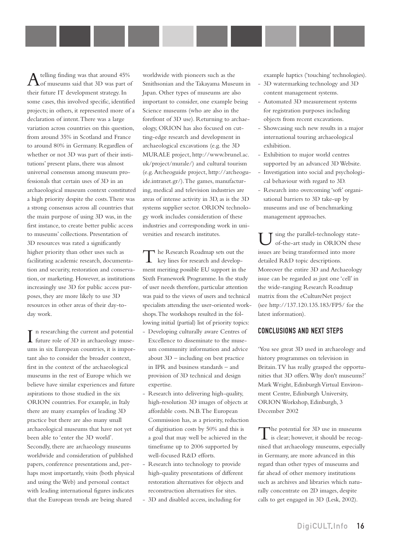Atelling finding was that around 45%<br>of museums said that 3D was part of their future IT development strategy. In some cases, this involved specific, identified projects; in others, it represented more of a declaration of intent.There was a large variation across countries on this question, from around 35% in Scotland and France to around 80% in Germany. Regardless of whether or not 3D was part of their institutions' present plans, there was almost universal consensus among museum professionals that certain uses of 3D in an archaeological museum context constituted a high priority despite the costs.There was a strong consensus across all countries that the main purpose of using 3D was, in the first instance, to create better public access to museums' collections. Presentation of 3D resources was rated a significantly higher priority than other uses such as facilitating academic research, documentation and security, restoration and conservation, or marketing. However, as institutions increasingly use 3D for public access purposes, they are more likely to use 3D resources in other areas of their day-today work.

I n researching the current and potential<br>future role of 3D in archaeology musefuture role of 3D in archaeology museums in six European countries, it is important also to consider the broader context, first in the context of the archaeological museums in the rest of Europe which we believe have similar experiences and future aspirations to those studied in the six ORION countries. For example, in Italy there are many examples of leading 3D practice but there are also many small archaeological museums that have not yet been able to 'enter the 3D world'. Secondly, there are archaeology museums worldwide and consideration of published papers, conference presentations and, perhaps most importantly, visits (both physical and using the Web) and personal contact with leading international figures indicates that the European trends are being shared

worldwide with pioneers such as the Smithsonian and the Takayama Museum in Japan. Other types of museums are also important to consider, one example being Science museums (who are also in the forefront of 3D use). Returning to archaeology, ORION has also focused on cutting-edge research and development in archaeological excavations (e.g. the 3D MURALE project, [http://www.brunel.ac.](http://www.brunel.ac.uk/project/murale) uk/project/murale/) and cultural tourism [\(e.g.Archeoguide project, http://archeogu](http://archeoguide.intranet.gr)ide.intranet.gr/).The games, manufacturing, medical and television industries are areas of intense activity in 3D, as is the 3D systems supplier sector. ORION technology work includes consideration of these industries and corresponding work in universities and research institutes.

The Research Roadmap sets out the key lines for research and development meriting possible EU support in the Sixth Framework Programme. In the study of user needs therefore, particular attention was paid to the views of users and technical specialists attending the user-oriented workshops.The workshops resulted in the following initial (partial) list of priority topics:

- Developing culturally aware Centres of Excellence to disseminate to the museum community information and advice about 3D – including on best practice in IPR and business standards – and provision of 3D technical and design expertise.
- Research into delivering high-quality, high-resolution 3D images of objects at affordable costs. N.B.The European Commission has, as a priority, reduction of digitisation costs by 50% and this is a goal that may well be achieved in the timeframe up to 2006 supported by well-focused R&D efforts.
- Research into technology to provide high-quality presentations of different restoration alternatives for objects and reconstruction alternatives for sites.
- 3D and disabled access, including for

example haptics ('touching' technologies).

- 3D watermarking technology and 3D content management systems.
- Automated 3D measurement systems for registration purposes including objects from recent excavations.
- Showcasing such new results in a major international touring archaeological exhibition.
- Exhibition to major world centres supported by an advanced 3D Website.
- Investigation into social and psychological behaviour with regard to 3D.
- Research into overcoming 'soft' organisational barriers to 3D take-up by museums and use of benchmarking management approaches.

sing the parallel-technology stateof-the-art study in ORION these issues are being transformed into more detailed R&D topic descriptions. Moreover the entire 3D and Archaeology issue can be regarded as just one 'cell' in the wide-ranging Research Roadmap matrix from the eCultureNet project (see <http://137.120.135.183/FP5/>for the latest information).

#### CONCLUSIONS AND NEXT STEPS

'You see great 3D used in archaeology and history programmes on television in Britain.TV has really grasped the opportunities that 3D offers.Why don't museums?' Mark Wright, Edinburgh Virtual Environment Centre, Edinburgh University, ORION Workshop, Edinburgh, 3 December 2002

The potential for 3D use in museums<br>is clear; however, it should be recognised that archaeology museums, especially in Germany, are more advanced in this regard than other types of museums and far ahead of other memory institutions such as archives and libraries which naturally concentrate on 2D images, despite calls to get engaged in 3D (Lesk, 2002).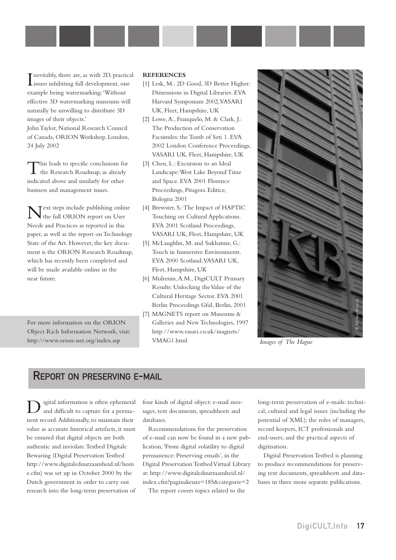**I** nevitably, there are, as with 2D, practic issues inhibiting full development, one nevitably, there are, as with 2D, practical example being watermarking:'Without effective 3D watermarking museums will naturally be unwilling to distribute 3D images of their objects.'

John Taylor, National Research Council of Canada, ORION Workshop, London, 24 July 2002

This leads to specific conclusions for the Research Roadmap, as already indicated above and similarly for other business and management issues.

Text steps include publishing online the full ORION report on User Needs and Practices as reported in this paper, as well as the report on Technology State of the Art. However, the key document is the ORION Research Roadmap, which has recently been completed and will be made available online in the near future.

For more information on the ORION Object Rich Information Network, visit: <http://www.orion-net.org/index.asp>

#### **REFERENCES**

- [1] Lesk, M.: 2D Good, 3D Better Higher: Dimensions in Digital Libraries. EVA Harvard Symposium 2002,VASARI UK, Fleet, Hampshire, UK
- [2] Lowe,A., Franquelo, M. & Clark, J.: The Production of Conservation Facsimiles: the Tomb of Seti 1. EVA 2002 London Conference Proceedings, VASARI UK, Fleet, Hampshire, UK
- [3] Chen, L.: Excursion to an Ideal Landscape:West Lake Beyond Time and Space. EVA 2001 Florence Proceedings, Pitagora Editice, Bologna 2001
- [4] Brewster, S.:The Impact of HAPTIC Touching on Cultural Applications. EVA 2001 Scotland Proceedings, VASARI UK, Fleet, Hampshire, UK
- [5] McLaughlin, M. and Sukhatme, G.: Touch in Immersive Environments. EVA 2000 Scotland,VASARI UK, Fleet, Hampshire, UK
- [6] Mulrenin,A.M., DigiCULT Primary Results: Unlocking the Value of the Cultural Heritage Sector. EVA 2001 Berlin Proceedings GfaI, Berlin, 2001
- [7] MAGNETS report on Museums & Galleries and New Technologies, 1997 [http://www.vasari.co.uk/magnets/](http://www.vasari.co.uk/magnets/VMAG.html) VMAG1.html



*Images of The Hague*

### REPORT ON PRESERVING E-MAIL

igital information is often ephemeral and difficult to capture for a permanent record.Additionally, to maintain their value as accurate historical artefacts, it must be ensured that digital objects are both authentic and inviolate.Testbed Digitale Bewaring (Digital Preservation Testbed [http://www.digitaleduurzaamheid.nl/hom](http://www.digitaleduurzaamheid.nl/home.cfm) e.cfm) was set up in October 2000 by the Dutch government in order to carry out research into the long-term preservation of

four kinds of digital object: e-mail messages, text documents, spreadsheets and databases.

Recommendations for the preservation of e-mail can now be found in a new publication, 'From digital volatility to digital permanence: Preserving emails', in the Digital Preservation Testbed Virtual Library at: [http://www.digitaleduurzaamheid.nl/](http://www.digitaleduurzaamheid.nl/index.cfm?paginakeuze=185&categorie=2) index.cfm?paginakeuze=185&categorie=2

The report covers topics related to the

long-term preservation of e-mails: technical, cultural and legal issues (including the potential of XML); the roles of managers, record keepers, ICT professionals and end-users; and the practical aspects of digitisation.

Digital Preservation Testbed is planning to produce recommendations for preserving text documents, spreadsheets and databases in three more separate publications.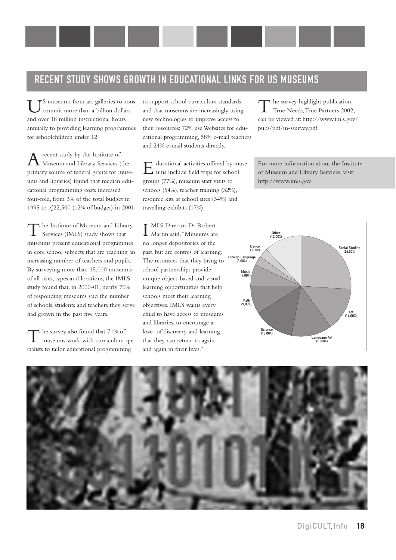### RECENT STUDY SHOWS GROWTH IN EDUCATIONAL LINKS FOR US MUSEUMS

 $\mathsf{T}$ S museums from art galleries to zoos commit more than a billion dollars and over 18 million instructional hours annually to providing learning programmes for schoolchildren under 12.

 $A$  recent study by the Institute of Museum and Library Services (the primary source of federal grants for museums and libraries) found that median educational programming costs increased four-fold, from 3% of the total budget in 1995 to £22,500 (12% of budget) in 2001.

The Institute of Museum and Library Services (IMLS) study shows that museums present educational programmes in core school subjects that are reaching an increasing number of teachers and pupils. By surveying more than 15,000 museums of all sizes, types and locations, the IMLS study found that, in 2000-01, nearly 70% of responding museums said the number of schools, students and teachers they serve had grown in the past five years.

The survey also found that 71% of<br>museums work with curriculum specialists to tailor educational programming

to support school curriculum standards and that museums are increasingly using new technologies to improve access to their resources: 72% use Websites for educational programming, 58% e-mail teachers and 24% e-mail students directly.

Educational activities offered by museums include field trips for school groups (77%), museum staff visits to schools (54%), teacher training (32%), resource kits at school sites (34%) and travelling exhibits (17%).

 $\rightarrow$  he survey highlight publication, True Needs,True Partners 2002, can be viewed at: [http://www.imls.gov/](http://www.imls.gov/pubs/pdf/m-ssurvey.pdf) pubs/pdf/m-ssurvey.pdf

For more information about the Institute of Museum and Library Services, visit: <http://www.imls.gov>

I MLS Director Dr Robert<br>Martin said, "Museums are MLS Director Dr Robert no longer depositories of the past, but are centres of learning. The resources that they bring to school partnerships provide unique object-based and visual learning opportunities that help schools meet their learning objectives. IMLS wants every child to have access to museums and libraries, to encourage a love of discovery and learning that they can return to again and again in their lives."



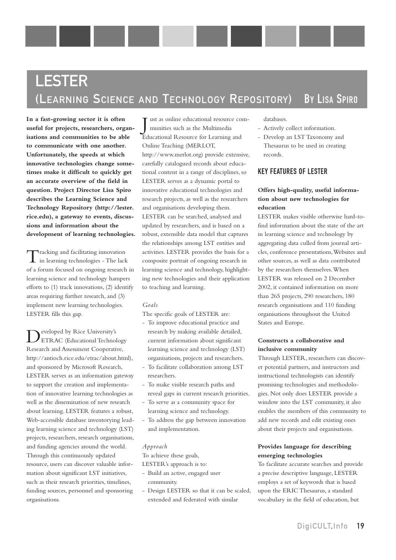# **LESTER** (LEARNING SCIENCE AND TECHNOLOGY REPOSITORY) BY LISA SPIRO

**In a fast-growing sector it is often useful for projects, researchers, organisations and communities to be able to communicate with one another. Unfortunately, the speeds at which innovative technologies change sometimes make it difficult to quickly get an accurate overview of the field in question. Project Director Lisa Spiro describes the Learning Science and Technology Repository ([http://lester.](http://lester.rice.edu) rice.edu), a gateway to events, discussions and information about the development of learning technologies.**

Tracking and facilitating innovation in learning technologies - The lack of a forum focused on ongoing research in learning science and technology hampers efforts to (1) track innovations, (2) identify areas requiring further research, and (3) implement new learning technologies. LESTER fills this gap.

Developed by Rice University's ETRAC (Educational Technology Research and Assessment Cooperative, [http://antioch.rice.edu/etrac/about.htm](http://antioch.rice.edu/etrac/about.html)l), and sponsored by Microsoft Research, LESTER serves as an information gateway to support the creation and implementation of innovative learning technologies as well as the dissemination of new research about learning. LESTER features a robust, Web-accessible database inventorying leading learning science and technology (LST) projects, researchers, research organisations, and funding agencies around the world. Through this continuously updated resource, users can discover valuable information about significant LST initiatives, such as their research priorities, timelines, funding sources, personnel and sponsoring organisations.

J ust as online educational resource communities such as the Multimedia Educational Resource for Learning and Online Teaching (MERLOT, [http://www.merlot.org\)](http://www.merlot.org) provide extensive, carefully catalogued records about educational content in a range of disciplines, so LESTER serves as a dynamic portal to innovative educational technologies and research projects, as well as the researchers and organisations developing them. LESTER can be searched, analysed and updated by researchers, and is based on a robust, extensible data model that captures the relationships among LST entities and activities. LESTER provides the basis for a composite portrait of ongoing research in learning science and technology, highlighting new technologies and their application to teaching and learning.

#### *Goals*

The specific goals of LESTER are:

- To improve educational practice and research by making available detailed, current information about significant learning science and technology (LST) organisations, projects and researchers.
- To facilitate collaboration among LST researchers.
- To make visible research paths and reveal gaps in current research priorities.
- To serve as a community space for learning science and technology.
- To address the gap between innovation and implementation.

#### *Approach*

To achieve these goals,

- LESTER's approach is to:
- Build an active, engaged user community.
- Design LESTER so that it can be scaled, extended and federated with similar

databases.

- Actively collect information.
- Develop an LST Taxonomy and Thesaurus to be used in creating records.

#### KEY FEATURES OF LESTER

#### **Offers high-quality, useful information about new technologies for education**

LESTER makes visible otherwise hard-tofind information about the state of the art in learning science and technology by aggregating data culled from journal articles, conference presentations,Websites and other sources, as well as data contributed by the researchers themselves.When LESTER was released on 2 December 2002, it contained information on more than 265 projects, 290 researchers, 180 research organisations and 110 funding organisations throughout the United States and Europe.

#### **Constructs a collaborative and inclusive community**

Through LESTER, researchers can discover potential partners, and instructors and instructional technologists can identify promising technologies and methodologies. Not only does LESTER provide a window into the LST community, it also enables the members of this community to add new records and edit existing ones about their projects and organisations.

#### **Provides language for describing emerging technologies**

To facilitate accurate searches and provide a precise descriptive language, LESTER employs a set of keywords that is based upon the ERIC Thesaurus, a standard vocabulary in the field of education, but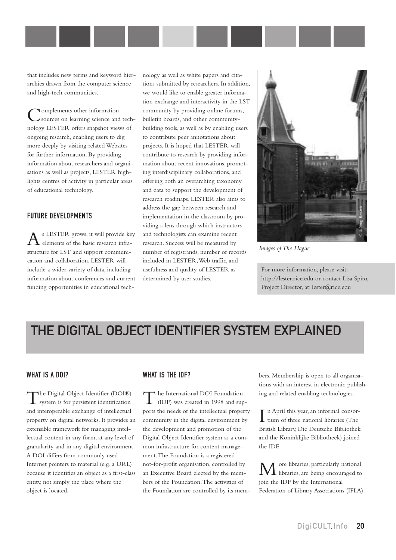that includes new terms and keyword hierarchies drawn from the computer science and high-tech communities.

Complements other information sources on learning science and technology LESTER offers snapshot views of ongoing research, enabling users to dig more deeply by visiting related Websites for further information. By providing information about researchers and organisations as well as projects, LESTER highlights centres of activity in particular areas of educational technology.

#### FUTURE DEVELOPMENTS

s LESTER grows, it will provide key elements of the basic research infrastructure for LST and support communication and collaboration. LESTER will include a wider variety of data, including information about conferences and current funding opportunities in educational technology as well as white papers and citations submitted by researchers. In addition, we would like to enable greater information exchange and interactivity in the LST community by providing online forums, bulletin boards, and other communitybuilding tools, as well as by enabling users to contribute peer annotations about projects. It is hoped that LESTER will contribute to research by providing information about recent innovations, promoting interdisciplinary collaborations, and offering both an overarching taxonomy and data to support the development of research roadmaps. LESTER also aims to address the gap between research and implementation in the classroom by providing a lens through which instructors and technologists can examine recent research. Success will be measured by number of registrands, number of records included in LESTER,Web traffic, and usefulness and quality of LESTER as determined by user studies.



*Images of The Hague*

For more information, please visit: <http://lester.rice.edu>or contact Lisa Spiro, Project Director, at: lester@rice.edu

# THE DIGITAL OBJECT IDENTIFIER SYSTEM EXPLAINED

#### WHAT IS A DOI?

The Digital Object Identifier (DOI®) system is for persistent identification and interoperable exchange of intellectual property on digital networks. It provides an extensible framework for managing intellectual content in any form, at any level of granularity and in any digital environment. A DOI differs from commonly used Internet pointers to material (e.g. a URL) because it identifies an object as a first-class entity, not simply the place where the object is located.

#### WHAT IS THE IDF?

The International DOI Foundation (IDF) was created in 1998 and supports the needs of the intellectual property community in the digital environment by the development and promotion of the Digital Object Identifier system as a common infrastructure for content management.The Foundation is a registered not-for-profit organisation, controlled by an Executive Board elected by the members of the Foundation.The activities of the Foundation are controlled by its members. Membership is open to all organisations with an interest in electronic publishing and related enabling technologies.

In April this year, an informal consort tium of three national libraries (The n April this year, an informal consor-British Library, Die Deutsche Bibliothek and the Koninklijke Bibliotheek) joined the IDF. *Images of The Hague*<br>
For more information, please visit:<br>
http://lester.rice.edu or contact Lisa Spire<br>
Project Director, at: lester@rice.edu<br> **Project Director, at: lester@rice.edu**<br> **Project Director, at: lester@rice.e** 

More libraries, particularly national libraries, are being encouraged to join the IDF by the International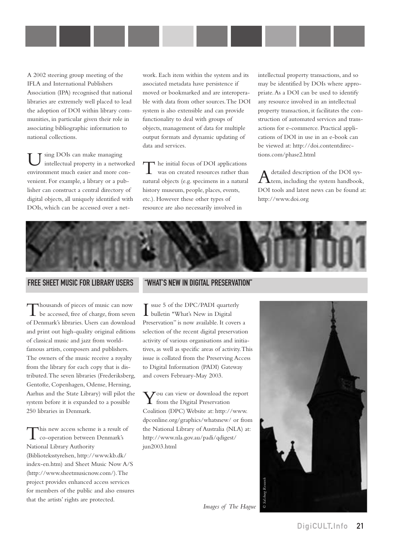A 2002 steering group meeting of the IFLA and International Publishers Association (IPA) recognised that national libraries are extremely well placed to lead the adoption of DOI within library communities, in particular given their role in associating bibliographic information to national collections.

Using DOIs can make managing intellectual property in a networked environment much easier and more convenient. For example, a library or a publisher can construct a central directory of digital objects, all uniquely identified with DOIs, which can be accessed over a network. Each item within the system and its associated metadata have persistence if moved or bookmarked and are interoperable with data from other sources.The DOI system is also extensible and can provide functionality to deal with groups of objects, management of data for multiple output formats and dynamic updating of data and services.

The initial focus of DOI applications was on created resources rather than natural objects (e.g. specimens in a natural history museum, people, places, events, etc.). However these other types of resource are also necessarily involved in

intellectual property transactions, and so may be identified by DOIs where appropriate.As a DOI can be used to identify any resource involved in an intellectual property transaction, it facilitates the construction of automated services and transactions for e-commerce. Practical applications of DOI in use in an e-book can [be viewed at: http://doi.contentdirec](http://doi.contentdirections.com/phase2.html)tions.com/phase2.html

 $\bigwedge^\text{detailed description of the DOI sys-}$ DOI tools and latest news can be found at: <http://www.doi.org>



#### FREE SHEET MUSIC FOR LIBRARY USERS

Thousands of pieces of music can now be accessed, free of charge, from seven of Denmark's libraries. Users can download and print out high-quality original editions of classical music and jazz from worldfamous artists, composers and publishers. The owners of the music receive a royalty from the library for each copy that is distributed.The seven libraries (Frederiksberg, Gentofte, Copenhagen, Odense, Herning, Aarhus and the State Library) will pilot the system before it is expanded to a possible 250 libraries in Denmark.

This new access scheme is a result of co-operation between Denmark's National Library Authority (Biblioteksstyrelsen, [http://www.kb.dk/](http://www.kb.dk/index-en.html) index-en.htm) and Sheet Music Now A/S ([http://www.sheetmusicnow.com/\).The](http://www.sheetmusicnow.com/) project provides enhanced access services for members of the public and also ensures that the artists' rights are protected.

#### "WHAT'S NEW IN DIGITAL PRESERVATION"

I bulletin "What's New in Digital ssue 5 of the DPC/PADI quarterly Preservation" is now available. It covers a selection of the recent digital preservation activity of various organisations and initiatives, as well as specific areas of activity.This issue is collated from the Preserving Access to Digital Information (PADI) Gateway and covers February-May 2003.

 $\sum$  ou can view or download the report from the Digital Preservation Coalition (DPC) Website at: [http://www.](http://www.dcponline.org/graphics/whatsnew) dpconline.org/graphics/whatsnew/ or from the National Library of Australia (NLA) at: [http://www.nla.gov.au/padi/qdigest/](http://www.nla.gov.au/padi/qdigest/june2003.html) jun2003.html

*Images of The Hague*

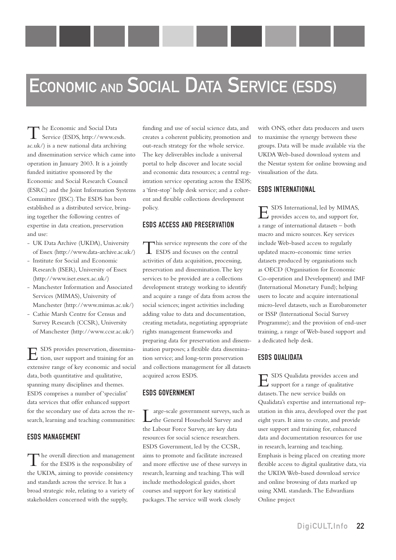# ECONOMIC AND SOCIAL DATA SERVICE (ESDS)

The Economic and Social Data Service (ESDS, [http://www.esds.](http://www.esds.ac.uk) ac.uk/) is a new national data archiving and dissemination service which came into operation in January 2003. It is a jointly funded initiative sponsored by the Economic and Social Research Council (ESRC) and the Joint Information Systems Committee (JISC).The ESDS has been established as a distributed service, bringing together the following centres of expertise in data creation, preservation and use:

- UK Data Archive (UKDA), University of Essex [\(http://www.data-archive.ac.uk/\)](http://www.data-archive.ac.uk/)
- Institute for Social and Economic Research (ISER), University of Essex [\(http://www.iser.essex.ac.uk/\)](http://www.iser.essex.ac.uk/)
- Manchester Information and Associated Services (MIMAS), University of Manchester ([http://www.mimas.ac.uk/\)](http://www.mimas.ac.uk/)
- Cathie Marsh Centre for Census and Survey Research (CCSR), University of Manchester [\(http://www.ccsr.ac.uk/\)](http://www.ccsr.ac.uk/)

ESDS provides preservation, dissemination, user support and training for an extensive range of key economic and social data, both quantitative and qualitative, spanning many disciplines and themes. ESDS comprises a number of 'specialist' data services that offer enhanced support for the secondary use of data across the research, learning and teaching communities:

#### ESDS MANAGEMENT

The overall direction and management for the ESDS is the responsibility of the UKDA, aiming to provide consistency and standards across the service. It has a broad strategic role, relating to a variety of stakeholders concerned with the supply,

funding and use of social science data, and creates a coherent publicity, promotion and out-reach strategy for the whole service. The key deliverables include a universal portal to help discover and locate social and economic data resources; a central registration service operating across the ESDS; a 'first-stop' help desk service; and a coherent and flexible collections development policy.

#### ESDS ACCESS AND PRESERVATION

This service represents the core of the<br>ESDS and focuses on the central activities of data acquisition, processing, preservation and dissemination.The key services to be provided are a collections development strategy working to identify and acquire a range of data from across the social sciences; ingest activities including adding value to data and documentation, creating metadata, negotiating appropriate rights management frameworks and preparing data for preservation and dissemination purposes; a flexible data dissemination service; and long-term preservation and collections management for all datasets acquired across ESDS.

#### ESDS GOVERNMENT

Large-scale government surveys, such as the General Household Survey and the Labour Force Survey, are key data resources for social science researchers. ESDS Government, led by the CCSR, aims to promote and facilitate increased and more effective use of these surveys in research, learning and teaching.This will include methodological guides, short courses and support for key statistical packages.The service will work closely

with ONS, other data producers and users to maximise the synergy between these groups. Data will be made available via the UKDA Web-based download system and the Nesstar system for online browsing and visualisation of the data.

#### ESDS INTERNATIONAL

ESDS International, led by MIMAS, provides access to, and support for, a range of international datasets – both macro and micro sources. Key services include Web-based access to regularly updated macro-economic time series datasets produced by organisations such as OECD (Organisation for Economic Co-operation and Development) and IMF (International Monetary Fund); helping users to locate and acquire international micro-level datasets, such as Eurobarometer or ISSP (International Social Survey Programme); and the provision of end-user training, a range of Web-based support and a dedicated help desk.

#### ESDS QUALIDATA

ESDS Qualidata provides access and support for a range of qualitative datasets.The new service builds on Qualidata's expertise and international reputation in this area, developed over the past eight years. It aims to create, and provide user support and training for, enhanced data and documentation resources for use in research, learning and teaching. Emphasis is being placed on creating more flexible access to digital qualitative data, via the UKDA Web-based download service and online browsing of data marked up using XML standards.The Edwardians Online project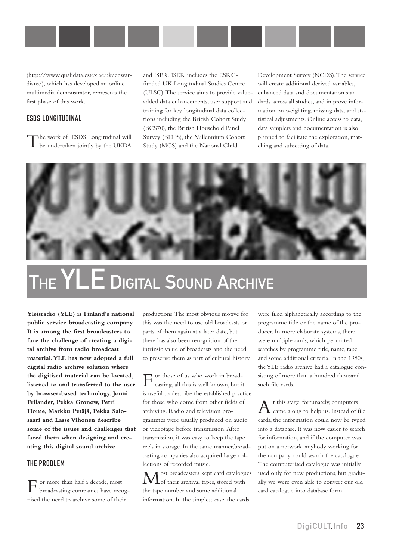

(http://www.qualidata.essex.ac.uk/edwardians/), which has developed an online multimedia demonstrator, represents the first phase of this work.

#### ESDS LONGITUDINAL

The work of ESDS Longitudinal will be undertaken jointly by the UKDA

and ISER. ISER includes the ESRCfunded UK Longitudinal Studies Centre (ULSC).The service aims to provide valueadded data enhancements, user support and training for key longitudinal data collections including the British Cohort Study (BCS70), the British Household Panel Survey (BHPS), the Millennium Cohort Study (MCS) and the National Child

Development Survey (NCDS).The service will create additional derived variables, enhanced data and documentation stan dards across all studies, and improve information on weighting, missing data, and statistical adjustments. Online access to data, data samplers and documentation is also planned to facilitate the exploration, matching and subsetting of data.



# THE YLE DIGITAL SOUND ARCHIVE

**Yleisradio (YLE) is Finland's national public service broadcasting company. It is among the first broadcasters to face the challenge of creating a digital archive from radio broadcast material.YLE has now adopted a full digital radio archive solution where the digitised material can be located, listened to and transferred to the user by browser-based technology. Jouni Frilander, Pekka Gronow, Petri Home, Markku Petäjä, Pekka Salosaari and Lasse Vihonen describe some of the issues and challenges that faced them when designing and creating this digital sound archive.**

#### THE PROBLEM

For more than half a decade, most broadcasting companies have recognised the need to archive some of their

productions.The most obvious motive for this was the need to use old broadcasts or parts of them again at a later date, but there has also been recognition of the intrinsic value of broadcasts and the need to preserve them as part of cultural history.

 $\Gamma$  or those of us who work in broad-<br>casting, all this is well known, but it is useful to describe the established practice for those who come from other fields of archiving. Radio and television programmes were usually produced on audio or videotape before transmission.After transmission, it was easy to keep the tape reels in storage. In the same manner,broadcasting companies also acquired large collections of recorded music.

ost broadcasters kept card catalogues Lof their archival tapes, stored with the tape number and some additional information. In the simplest case, the cards

were filed alphabetically according to the programme title or the name of the producer. In more elaborate systems, there were multiple cards, which permitted searches by programme title, name, tape, and some additional criteria. In the 1980s, the YLE radio archive had a catalogue consisting of more than a hundred thousand such file cards.

 $A$ <sup>t this stage, fortunately, computers came along to help us. Instead of file</sup> cards, the information could now be typed into a database. It was now easier to search for information, and if the computer was put on a network, anybody working for the company could search the catalogue. The computerised catalogue was initially used only for new productions, but gradually we were even able to convert our old card catalogue into database form.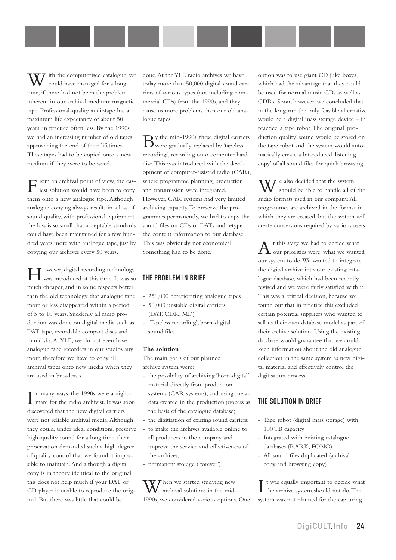ith the computerised catalogue, we could have managed for a long time, if there had not been the problem inherent in our archival medium: magnetic tape. Professional-quality audiotape has a maximum life expectancy of about 50 years, in practice often less. By the 1990s we had an increasing number of old tapes approaching the end of their lifetimes. These tapes had to be copied onto a new medium if they were to be saved.

From an archival point of view, the eas-iest solution would have been to copy them onto a new analogue tape.Although analogue copying always results in a loss of sound quality, with professional equipment the loss is so small that acceptable standards could have been maintained for a few hundred years more with analogue tape, just by copying our archives every 50 years.

However, digital recording technology was introduced at this time. It was so much cheaper, and in some respects better, than the old technology that analogue tape more or less disappeared within a period of 5 to 10 years. Suddenly all radio production was done on digital media such as DAT tape, recordable compact discs and minidisks.At YLE, we do not even have analogue tape recorders in our studios any more, therefore we have to copy all archival tapes onto new media when they are used in broadcasts.

In many ways, the 1990s were a night-<br>mare for the radio archivist. It was soon n many ways, the 1990s were a nightdiscovered that the new digital carriers were not reliable archival media.Although they could, under ideal conditions, preserve high-quality sound for a long time, their preservation demanded such a high degree of quality control that we found it impossible to maintain.And although a digital copy is in theory identical to the original, this does not help much if your DAT or CD player is unable to reproduce the original. But there was little that could be

done.At the YLE radio archives we have today more than 50,000 digital sound carriers of various types (not including commercial CDs) from the 1990s, and they cause us more problems than our old analogue tapes.

 $\mathbf{B}^\text{y}$  the mid-1990s, these digital carriers were gradually replaced by 'tapeless recording', recording onto computer hard disc.This was introduced with the development of computer-assisted radio (CAR), where programme planning, production and transmission were integrated. However, CAR systems had very limited archiving capacity.To preserve the programmes permanently, we had to copy the sound files on CDs or DATs and retype the content information to our database. This was obviously not economical. Something had to be done.

#### THE PROBLEM IN BRIEF

- 250,000 deteriorating analogue tapes
- 50,000 unstable digital carriers (DAT, CDR, MD)
- 'Tapeless recording', born-digital sound files

#### **The solution**

The main goals of our planned archive system were:

- the possibility of archiving 'born-digital' material directly from production systems (CAR systems), and using metadata created in the production process as the basis of the catalogue database;
- the digitisation of existing sound carriers;
- to make the archives available online to all producers in the company and improve the service and effectiveness of the archives;
- permanent storage ('forever').

 $\mathbf{V}$  T hen we started studying new archival solutions in the mid-1990s, we considered various options. One option was to use giant CD juke boxes, which had the advantage that they could be used for normal music CDs as well as CDRs. Soon, however, we concluded that in the long run the only feasible alternative would be a digital mass storage device – in practice, a tape robot.The original 'production quality' sound would be stored on the tape robot and the system would automatically create a bit-reduced 'listening copy' of all sound files for quick browsing.

 $\mathcal T$  e also decided that the system should be able to handle all of the audio formats used in our company.All programmes are archived in the format in which they are created, but the system will create conversions required by various users.

 $A$ <sup>t this stage we had to decide what  $\omega$  wanted</sup> our system to do.We wanted to integrate the digital archive into our existing catalogue database, which had been recently revised and we were fairly satisfied with it. This was a critical decision, because we found out that in practice this excluded certain potential suppliers who wanted to sell us their own database model as part of their archive solution. Using the existing database would guarantee that we could keep information about the old analogue collection in the same system as new digital material and effectively control the digitisation process.

#### THE SOLUTION IN BRIEF

- Tape robot (digital mass storage) with 100 TB capacity
- Integrated with existing catalogue databases (RARK, FONO)
- All sound files duplicated (archival copy and browsing copy)

I t was equally important to decide what the archive system should not do. The the archive system should not do.The system was not planned for the capturing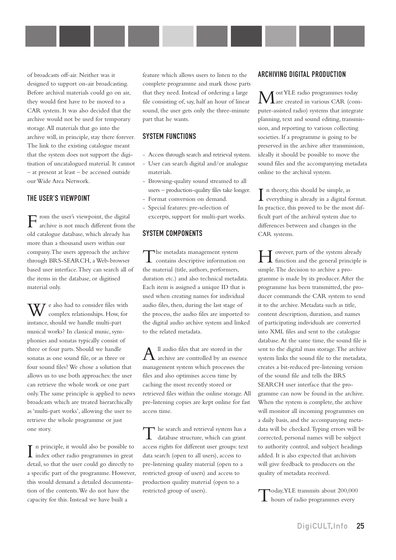of broadcasts off-air. Neither was it designed to support on-air broadcasting. Before archival materials could go on air, they would first have to be moved to a CAR system. It was also decided that the archive would not be used for temporary storage.All materials that go into the archive will, in principle, stay there forever. The link to the existing catalogue meant that the system does not support the digitisation of uncatalogued material. It cannot – at present at least – be accessed outside our Wide Area Network.

#### THE USER'S VIEWPOINT

From the user's viewpoint, the digital<br>archive is not much different from the old catalogue database, which already has more than a thousand users within our company.The users approach the archive through BRS-SEARCH, a Web-browser based user interface.They can search all of the items in the database, or digitised material only.

 $\overline{U}$  e also had to consider files with complex relationships. How, for instance, should we handle multi-part musical works? In classical music, symphonies and sonatas typically consist of three or four parts. Should we handle sonatas as one sound file, or as three or four sound files? We chose a solution that allows us to use both approaches: the user can retrieve the whole work or one part only.The same principle is applied to news broadcasts which are treated hierarchically as 'multi-part works', allowing the user to retrieve the whole programme or just one story.

In principle, it would also be possible to index other radio programmes in great  $\mathbf T$  n principle, it would also be possible to detail, so that the user could go directly to a specific part of the programme. However, this would demand a detailed documentation of the contents.We do not have the capacity for this. Instead we have built a

feature which allows users to listen to the complete programme and mark those parts that they need. Instead of ordering a large file consisting of, say, half an hour of linear sound, the user gets only the three-minute part that he wants.

#### SYSTEM FUNCTIONS

- Access through search and retrieval system.
- User can search digital and/or analogue materials.
- Browsing-quality sound streamed to all users – production-quality files take longer.
- Format conversion on demand.
- Special features: pre-selection of excerpts, support for multi-part works.

#### SYSTEM COMPONENTS

The metadata management system contains descriptive information on the material (title, authors, performers, duration etc.) and also technical metadata. Each item is assigned a unique ID that is used when creating names for individual audio files, then, during the last stage of the process, the audio files are imported to the digital audio archive system and linked to the related metadata.

 $A$ <sup>ll audio files that are stored in the</sup><br>archive are controlled by an essence management system which processes the files and also optimises access time by caching the most recently stored or retrieved files within the online storage.All pre-listening copies are kept online for fast access time.

The search and retrieval system has a database structure, which can grant access rights for different user groups: text data search (open to all users), access to pre-listening quality material (open to a restricted group of users) and access to production quality material (open to a restricted group of users).

#### ARCHIVING DIGITAL PRODUCTION

Most YLE radio programmes today are created in various CAR (computer-assisted radio) systems that integrate planning, text and sound editing, transmission, and reporting to various collecting societies. If a programme is going to be preserved in the archive after transmission, ideally it should be possible to move the sound files and the accompanying metadata online to the archival system.

I n theory, this should be simple, as everything is already in a digital format. In practice, this proved to be the most difficult part of the archival system due to differences between and changes in the CAR systems.

However, parts of the system already function and the general principle is simple.The decision to archive a programme is made by its producer.After the programme has been transmitted, the producer commands the CAR system to send it to the archive. Metadata such as title, content description, duration, and names of participating individuals are converted into XML files and sent to the catalogue database.At the same time, the sound file is sent to the digital mass storage.The archive system links the sound file to the metadata, creates a bit-reduced pre-listening version of the sound file and tells the BRS SEARCH user interface that the programme can now be found in the archive. When the system is complete, the archive will monitor all incoming programmes on a daily basis, and the accompanying metadata will be checked.Typing errors will be corrected, personal names will be subject to authority control, and subject headings added. It is also expected that archivists will give feedback to producers on the quality of metadata received.

Today,YLE transmits about 200,000 hours of radio programmes every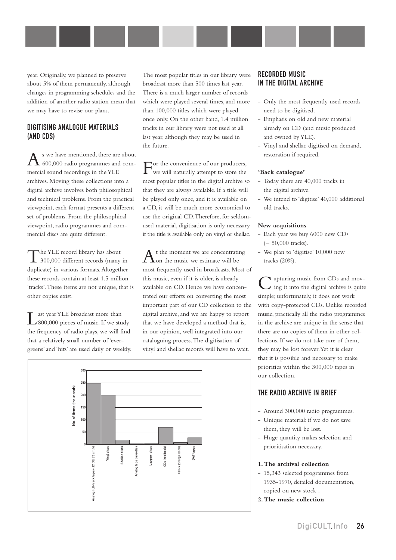year. Originally, we planned to preserve about 5% of them permanently, although changes in programming schedules and the addition of another radio station mean that we may have to revise our plans.

#### DIGITISING ANALOGUE MATERIALS (AND CDS)

 $A$ <sup>s</sup> we have mentioned, there are about  $\Delta$  600,000 radio programmes and commercial sound recordings in the YLE archives. Moving these collections into a digital archive involves both philosophical and technical problems. From the practical viewpoint, each format presents a different set of problems. From the philosophical viewpoint, radio programmes and commercial discs are quite different.

The YLE record library has about 300,000 different records (many in duplicate) in various formats.Altogether these records contain at least 1.5 million 'tracks'.These items are not unique, that is other copies exist.

Last year YLE broadcast more than 800,000 pieces of music. If we study the frequency of radio plays, we will find that a relatively small number of 'evergreens' and 'hits' are used daily or weekly. The most popular titles in our library were broadcast more than 500 times last year. There is a much larger number of records which were played several times, and more than 100,000 titles which were played once only. On the other hand, 1.4 million tracks in our library were not used at all last year, although they may be used in the future.

For the convenience of our producers, we will naturally attempt to store the most popular titles in the digital archive so that they are always available. If a title will be played only once, and it is available on a CD, it will be much more economical to use the original CD.Therefore, for seldomused material, digitisation is only necessary if the title is available only on vinyl or shellac.

t the moment we are concentrating on the music we estimate will be most frequently used in broadcasts. Most of this music, even if it is older, is already available on CD. Hence we have concentrated our efforts on converting the most important part of our CD collection to the digital archive, and we are happy to report that we have developed a method that is, in our opinion, well integrated into our cataloguing process.The digitisation of vinyl and shellac records will have to wait.



#### RECORDED MUSIC IN THE DIGITAL ARCHIVE

- Only the most frequently used records need to be digitised.
- Emphasis on old and new material already on CD (and music produced and owned by YLE).
- Vinyl and shellac digitised on demand, restoration if required.

#### **'Back catalogue'**

- Today there are 40,000 tracks in the digital archive.
- We intend to 'digitise' 40,000 additional old tracks.

#### **New acquisitions**

- Each year we buy 6000 new CDs  $(= 50,000$  tracks).
- We plan to 'digitise' 10,000 new tracks (20%).

requiring music from CDs and moving it into the digital archive is quite simple; unfortunately, it does not work with copy-protected CDs. Unlike recorded music, practically all the radio programmes in the archive are unique in the sense that there are no copies of them in other collections. If we do not take care of them, they may be lost forever.Yet it is clear that it is possible and necessary to make priorities within the 300,000 tapes in our collection.

#### THE RADIO ARCHIVE IN BRIEF

- Around 300,000 radio programmes.
- Unique material: if we do not save them, they will be lost.
- Huge quantity makes selection and prioritisation necessary.

#### **1.The archival collection**

- 15,343 selected programmes from 1935-1970, detailed documentation, copied on new stock .
- **2.The music collection**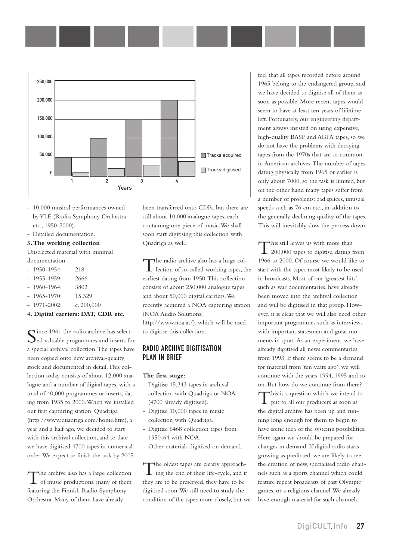

- 10,000 musical performances owned byYLE (Radio Symphony Orchestra etc., 1950-2000).
- Detailed documentation.
- **3.The working collection**

Unselected material with minimal documentation

- 1950-1954: 218
- 1955-1959: 2666
- 1960-1964: 3802
- 1965-1970: 15,329
- $1971 2002$ : c. 200,000

#### **4. Digital carriers: DAT, CDR etc.**

Since 1961 the radio archive has selectded valuable programmes and inserts for a special archival collection.The tapes have been copied onto new archival-quality stock and documented in detail.This collection today consists of about 12,000 analogue and a number of digital tapes, with a total of 40,000 programmes or inserts, dating from 1935 to 2000.When we installed our first capturing station, Quadriga (<http://www.quadriga.com/home.htm>), a year and a half ago, we decided to start with this archival collection, and to date we have digitised 4700 tapes in numerical order.We expect to finish the task by 2005.

The archive also has a large collection<br>of music productions, many of them featuring the Finnish Radio Symphony Orchestra. Many of them have already

been transferred onto CDR, but there are still about 10,000 analogue tapes, each containing one piece of music.We shall soon start digitising this collection with Quadriga as well.

The radio archive also has a huge col-lection of so-called working tapes, the earliest dating from 1950.This collection consists of about 250,000 analogue tapes and about 50,000 digital carriers.We recently acquired a NOA capturing station (NOA Audio Solutions, <http://www.noa.at/>), which will be used

to digitise this collection.

#### RADIO ARCHIVE DIGITISATION PLAN IN BRIEF

#### **The first stage:**

- Digitise 15,343 tapes in archival collection with Quadriga or NOA (4700 already digitised).
- Digitise 10,000 tapes in music collection with Quadriga.
- Digitise 6468 collection tapes from 1950-64 with NOA.
- Other materials digitised on demand.

The oldest tapes are clearly approach-ing the end of their life-cycle, and if they are to be preserved, they have to be digitised soon.We still need to study the condition of the tapes more closely, but we feel that all tapes recorded before around 1965 belong to the endangered group, and we have decided to digitise all of them as soon as possible. More recent tapes would seem to have at least ten years of lifetime left. Fortunately, our engineering department always insisted on using expensive, high-quality BASF and AGFA tapes, so we do not have the problems with decaying tapes from the 1970s that are so common in American archives.The number of tapes dating physically from 1965 or earlier is only about 7000, so the task is limited, but on the other hand many tapes suffer from a number of problems: bad splices, unusual speeds such as 76 cm etc., in addition to the generally declining quality of the tapes. This will inevitably slow the process down.

This still leaves us with more than<br>200,000 tapes to digitise, dating from 1966 to 2000. Of course we would like to start with the tapes most likely to be used in broadcasts. Most of our 'greatest hits', such as war documentaries, have already been moved into the archival collection and will be digitised in that group. However, it is clear that we will also need other important programmes such as interviews with important statesmen and great moments in sport.As an experiment, we have already digitised all news commentaries from 1993. If there seems to be a demand for material from 'ten years ago', we will continue with the years 1994, 1995 and so on. But how do we continue from there? This is a question which we intend to put to all our producers as soon as the digital archive has been up and running long enough for them to begin to have some idea of the system's possibilities. Here again we should be prepared for changes in demand. If digital radio starts growing as predicted, we are likely to see the creation of new, specialised radio channels such as a sports channel which could feature repeat broadcasts of past Olympic games, or a religious channel.We already have enough material for such channels.